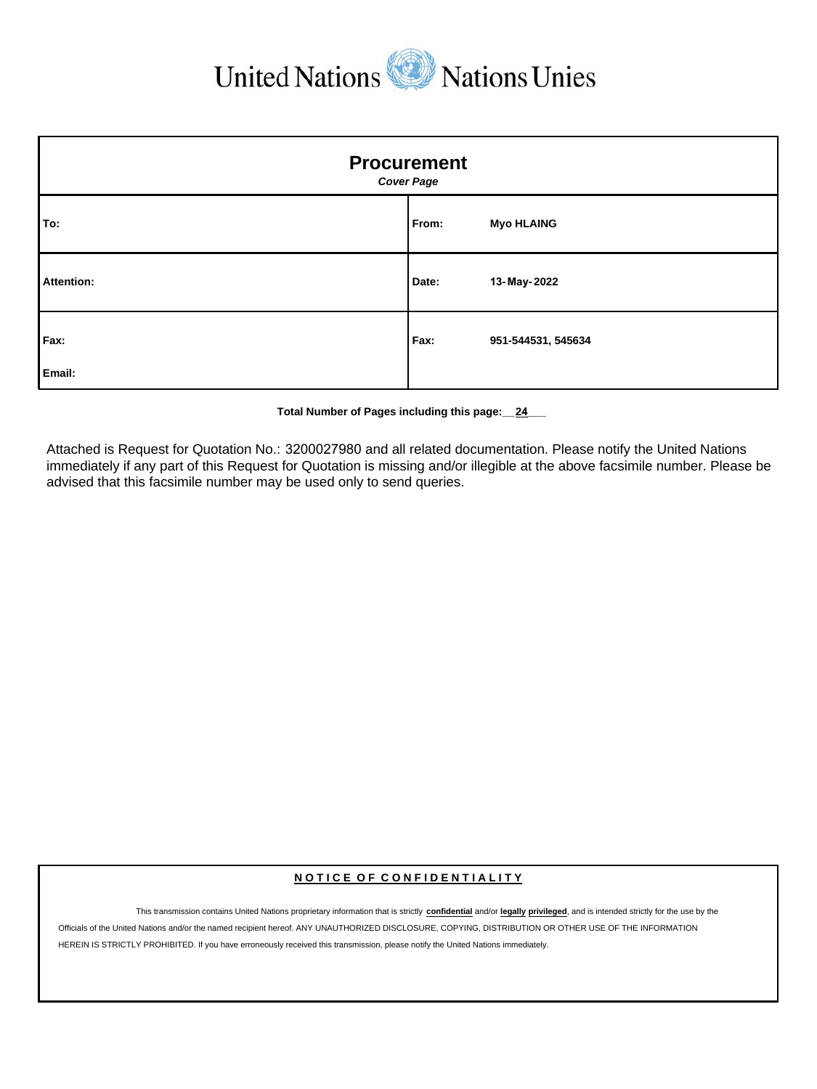United Nations Wations Unies

| <b>Procurement</b><br><b>Cover Page</b> |       |                    |  |  |
|-----------------------------------------|-------|--------------------|--|--|
| To:                                     | From: | <b>Myo HLAING</b>  |  |  |
| Attention:                              | Date: | 13-May-2022        |  |  |
| Fax:<br>Email:                          | Fax:  | 951-544531, 545634 |  |  |

**Total Number of Pages including this page:\_\_24\_\_\_**

Attached is Request for Quotation No.: 3200027980 and all related documentation. Please notify the United Nations immediately if any part of this Request for Quotation is missing and/or illegible at the above facsimile number. Please be advised that this facsimile number may be used only to send queries.

#### **N O T I C E O F C O N F I D E N T I A L I T Y**

This transmission contains United Nations proprietary information that is strictly **confidential** and/or **legally privileged**, and is intended strictly for the use by the Officials of the United Nations and/or the named recipient hereof. ANY UNAUTHORIZED DISCLOSURE, COPYING, DISTRIBUTION OR OTHER USE OF THE INFORMATION HEREIN IS STRICTLY PROHIBITED. If you have erroneously received this transmission, please notify the United Nations immediately.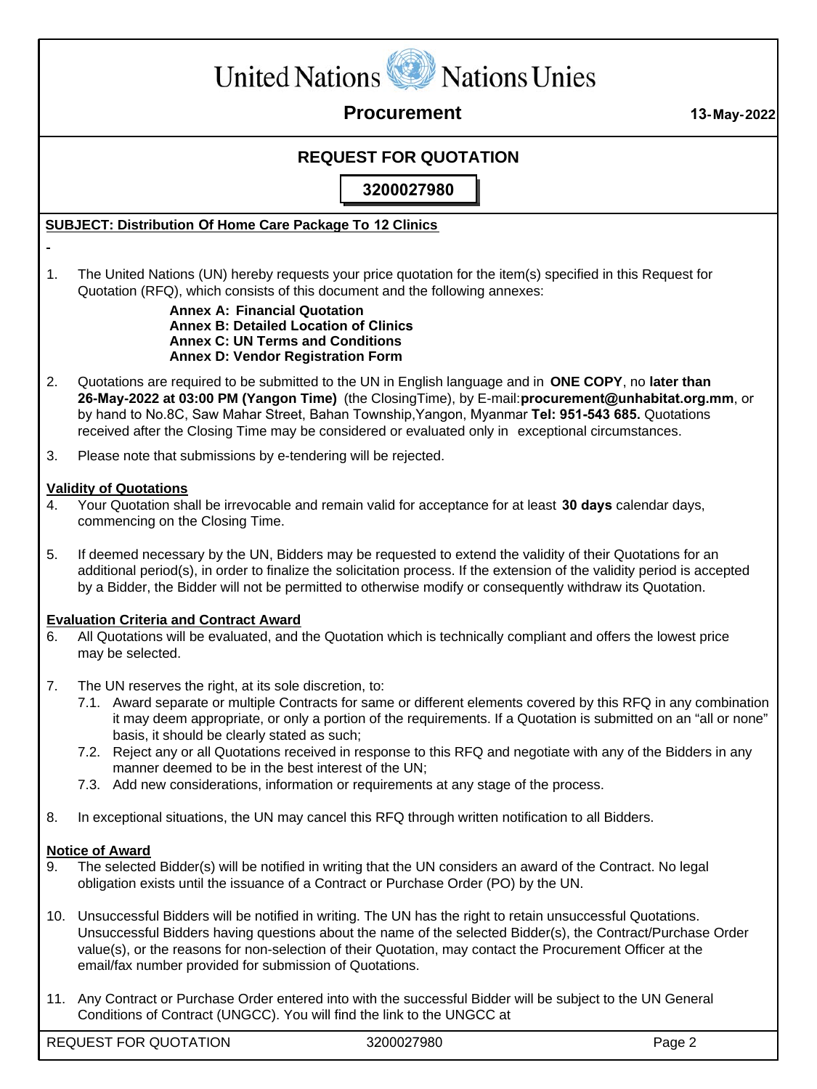

 **Procurement 13-May-2022**

## **REQUEST FOR QUOTATION**

**3200027980**

### **SUBJECT: Distribution Of Home Care Package To 12 Clinics**

1. The United Nations (UN) hereby requests your price quotation for the item(s) specified in this Request for Quotation (RFQ), which consists of this document and the following annexes:

#### **Annex A: Financial Quotation Annex B: Detailed Location of Clinics Annex C: UN Terms and Conditions Annex D: Vendor Registration Form**

- 2. Quotations are required to be submitted to the UN in English language and in **ONE COPY**, no **later than 26-May-2022 at 03:00 PM (Yangon Time)** (the ClosingTime), by E-mail:**procurement@unhabitat.org.mm**, or by hand to No.8C, Saw Mahar Street, Bahan Township,Yangon, Myanmar **Tel: 951-543 685.** Quotations received after the Closing Time may be considered or evaluated only in exceptional circumstances.
- 3. Please note that submissions by e-tendering will be rejected.

#### **Validity of Quotations**

- 4. Your Quotation shall be irrevocable and remain valid for acceptance for at least **30 days** calendar days, commencing on the Closing Time.
- 5. If deemed necessary by the UN, Bidders may be requested to extend the validity of their Quotations for an additional period(s), in order to finalize the solicitation process. If the extension of the validity period is accepted by a Bidder, the Bidder will not be permitted to otherwise modify or consequently withdraw its Quotation.

#### **Evaluation Criteria and Contract Award**

- 6. All Quotations will be evaluated, and the Quotation which is technically compliant and offers the lowest price may be selected.
- 7. The UN reserves the right, at its sole discretion, to:
	- 7.1. Award separate or multiple Contracts for same or different elements covered by this RFQ in any combination it may deem appropriate, or only a portion of the requirements. If a Quotation is submitted on an "all or none" basis, it should be clearly stated as such;
	- 7.2. Reject any or all Quotations received in response to this RFQ and negotiate with any of the Bidders in any manner deemed to be in the best interest of the UN;
	- 7.3. Add new considerations, information or requirements at any stage of the process.
- 8. In exceptional situations, the UN may cancel this RFQ through written notification to all Bidders.

#### **Notice of Award**

- 9. The selected Bidder(s) will be notified in writing that the UN considers an award of the Contract. No legal obligation exists until the issuance of a Contract or Purchase Order (PO) by the UN.
- 10. Unsuccessful Bidders will be notified in writing. The UN has the right to retain unsuccessful Quotations. Unsuccessful Bidders having questions about the name of the selected Bidder(s), the Contract/Purchase Order value(s), or the reasons for non-selection of their Quotation, may contact the Procurement Officer at the email/fax number provided for submission of Quotations.
- 11. Any Contract or Purchase Order entered into with the successful Bidder will be subject to the UN General Conditions of Contract (UNGCC). You will find the link to the UNGCC at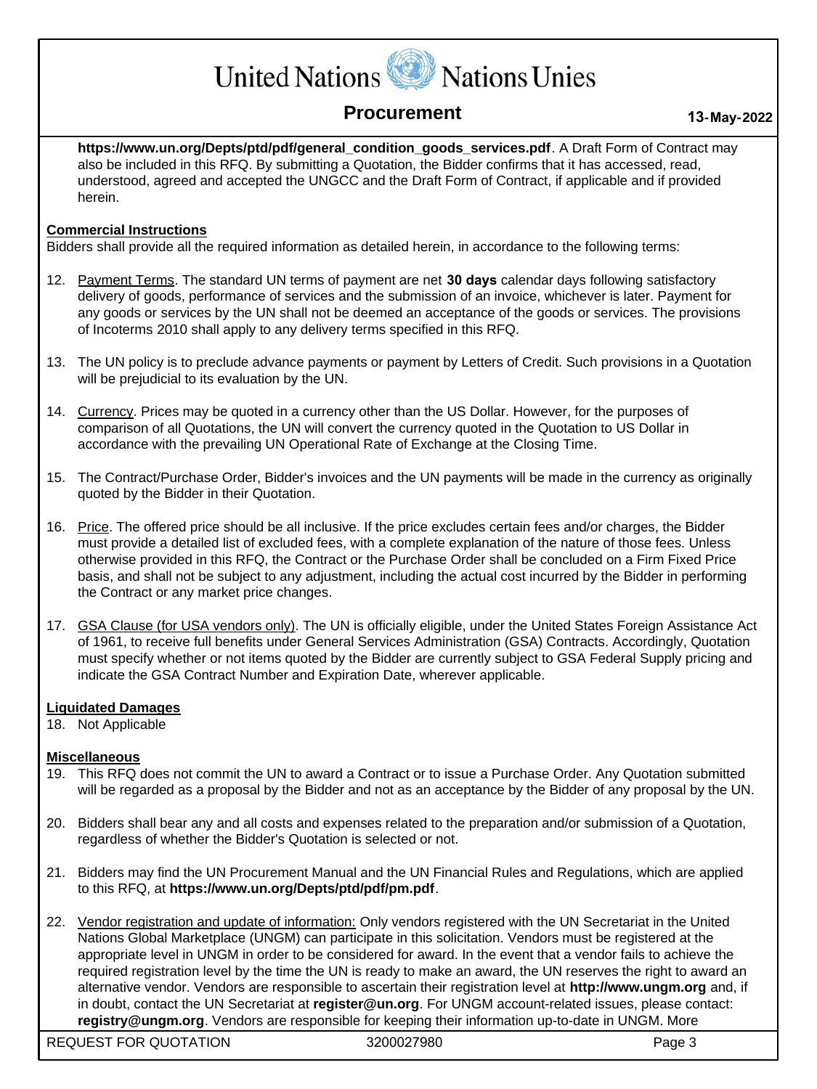# United Nations W Nations Unies

# **Procurement <sup>13</sup>-May-2022**

**https://www.un.org/Depts/ptd/pdf/general\_condition\_goods\_services.pdf**. A Draft Form of Contract may also be included in this RFQ. By submitting a Quotation, the Bidder confirms that it has accessed, read, understood, agreed and accepted the UNGCC and the Draft Form of Contract, if applicable and if provided herein.

### **Commercial Instructions**

Bidders shall provide all the required information as detailed herein, in accordance to the following terms:

- 12. Payment Terms. The standard UN terms of payment are net **30 days** calendar days following satisfactory delivery of goods, performance of services and the submission of an invoice, whichever is later. Payment for any goods or services by the UN shall not be deemed an acceptance of the goods or services. The provisions of Incoterms 2010 shall apply to any delivery terms specified in this RFQ.
- 13. The UN policy is to preclude advance payments or payment by Letters of Credit. Such provisions in a Quotation will be prejudicial to its evaluation by the UN.
- 14. Currency. Prices may be quoted in a currency other than the US Dollar. However, for the purposes of comparison of all Quotations, the UN will convert the currency quoted in the Quotation to US Dollar in accordance with the prevailing UN Operational Rate of Exchange at the Closing Time.
- 15. The Contract/Purchase Order, Bidder's invoices and the UN payments will be made in the currency as originally quoted by the Bidder in their Quotation.
- 16. Price. The offered price should be all inclusive. If the price excludes certain fees and/or charges, the Bidder must provide a detailed list of excluded fees, with a complete explanation of the nature of those fees. Unless otherwise provided in this RFQ, the Contract or the Purchase Order shall be concluded on a Firm Fixed Price basis, and shall not be subject to any adjustment, including the actual cost incurred by the Bidder in performing the Contract or any market price changes.
- 17. GSA Clause (for USA vendors only). The UN is officially eligible, under the United States Foreign Assistance Act of 1961, to receive full benefits under General Services Administration (GSA) Contracts. Accordingly, Quotation must specify whether or not items quoted by the Bidder are currently subject to GSA Federal Supply pricing and indicate the GSA Contract Number and Expiration Date, wherever applicable.

#### **Liquidated Damages**

18. Not Applicable

#### **Miscellaneous**

- 19. This RFQ does not commit the UN to award a Contract or to issue a Purchase Order. Any Quotation submitted will be regarded as a proposal by the Bidder and not as an acceptance by the Bidder of any proposal by the UN.
- 20. Bidders shall bear any and all costs and expenses related to the preparation and/or submission of a Quotation, regardless of whether the Bidder's Quotation is selected or not.
- 21. Bidders may find the UN Procurement Manual and the UN Financial Rules and Regulations, which are applied to this RFQ, at **https://www.un.org/Depts/ptd/pdf/pm.pdf**.
- 22. Vendor registration and update of information: Only vendors registered with the UN Secretariat in the United Nations Global Marketplace (UNGM) can participate in this solicitation. Vendors must be registered at the appropriate level in UNGM in order to be considered for award. In the event that a vendor fails to achieve the required registration level by the time the UN is ready to make an award, the UN reserves the right to award an alternative vendor. Vendors are responsible to ascertain their registration level at **http://www.ungm.org** and, if in doubt, contact the UN Secretariat at **register@un.org**. For UNGM account-related issues, please contact: **registry@ungm.org**. Vendors are responsible for keeping their information up-to-date in UNGM. More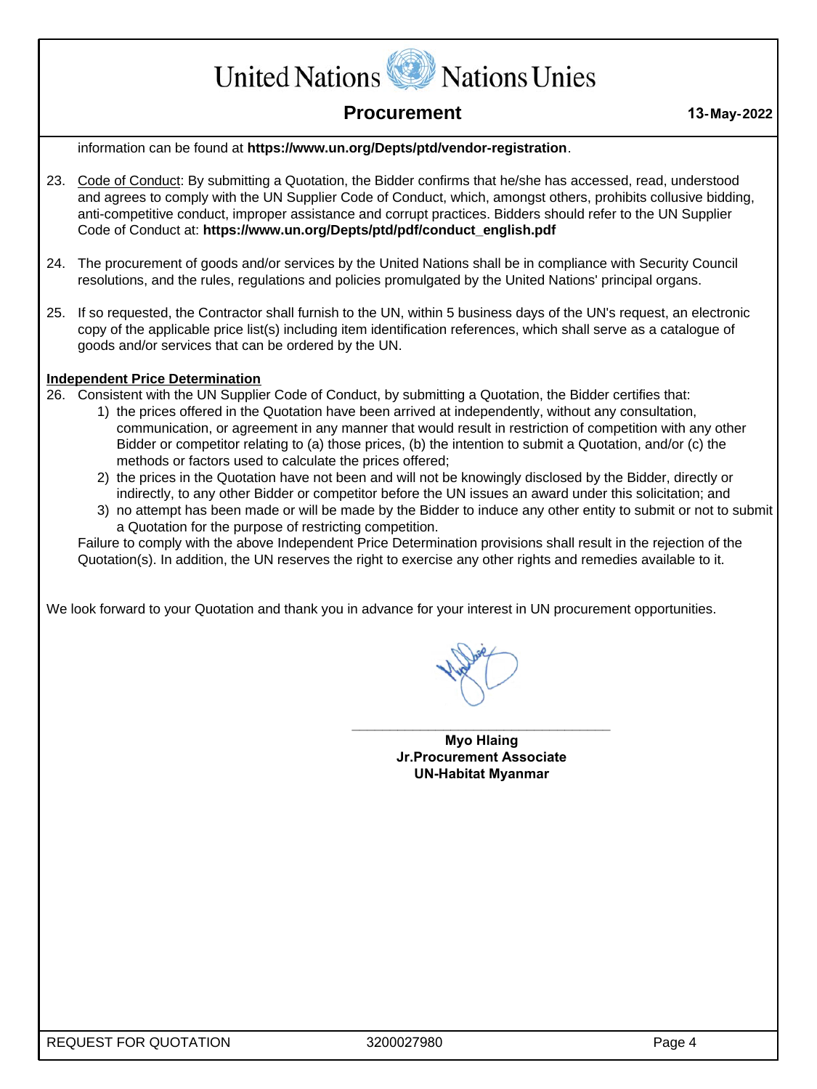United Nations W Nations Unies

# **Procurement 13-May-2022**

information can be found at **https://www.un.org/Depts/ptd/vendor-registration**.

- 23. Code of Conduct: By submitting a Quotation, the Bidder confirms that he/she has accessed, read, understood and agrees to comply with the UN Supplier Code of Conduct, which, amongst others, prohibits collusive bidding, anti-competitive conduct, improper assistance and corrupt practices. Bidders should refer to the UN Supplier Code of Conduct at: **https://www.un.org/Depts/ptd/pdf/conduct\_english.pdf**
- 24. The procurement of goods and/or services by the United Nations shall be in compliance with Security Council resolutions, and the rules, regulations and policies promulgated by the United Nations' principal organs.
- 25. If so requested, the Contractor shall furnish to the UN, within 5 business days of the UN's request, an electronic copy of the applicable price list(s) including item identification references, which shall serve as a catalogue of goods and/or services that can be ordered by the UN.

#### **Independent Price Determination**

- 26. Consistent with the UN Supplier Code of Conduct, by submitting a Quotation, the Bidder certifies that:
	- 1) the prices offered in the Quotation have been arrived at independently, without any consultation, communication, or agreement in any manner that would result in restriction of competition with any other Bidder or competitor relating to (a) those prices, (b) the intention to submit a Quotation, and/or (c) the methods or factors used to calculate the prices offered;
	- 2) the prices in the Quotation have not been and will not be knowingly disclosed by the Bidder, directly or indirectly, to any other Bidder or competitor before the UN issues an award under this solicitation; and
	- 3) no attempt has been made or will be made by the Bidder to induce any other entity to submit or not to submit a Quotation for the purpose of restricting competition.

Failure to comply with the above Independent Price Determination provisions shall result in the rejection of the Quotation(s). In addition, the UN reserves the right to exercise any other rights and remedies available to it.

We look forward to your Quotation and thank you in advance for your interest in UN procurement opportunities.

**Myo Hlaing Jr.Procurement Associate UN-Habitat Myanmar**

**\_\_\_\_\_\_\_\_\_\_\_\_\_\_\_\_\_\_\_\_\_\_\_\_\_\_\_\_\_\_\_\_\_\_**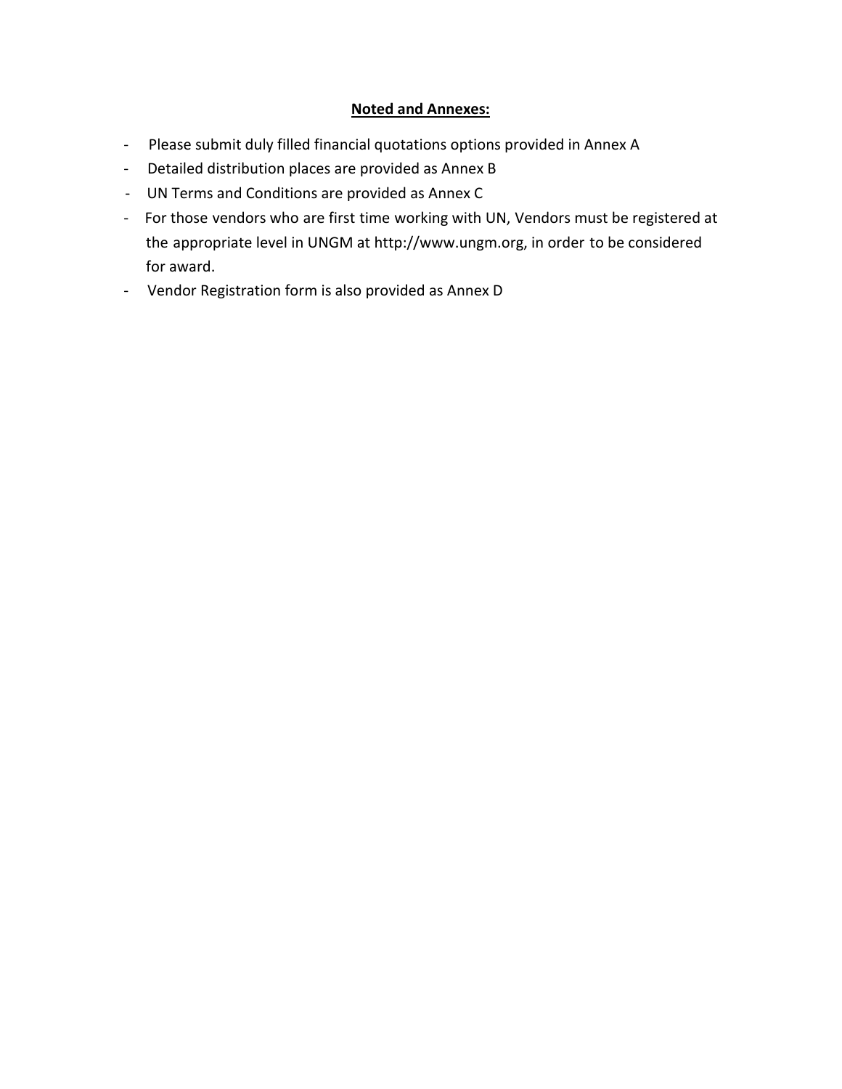### Noted and Annexes:

- Please submit duly filled financial quotations options provided in Annex A
- Detailed distribution places are provided as Annex B
- UN Terms and Conditions are provided as Annex C
- For those vendors who are first time working with UN, Vendors must be registered at the appropriate level in UNGM at http://www.ungm.org, in order to be considered for award.
- Vendor Registration form is also provided as Annex D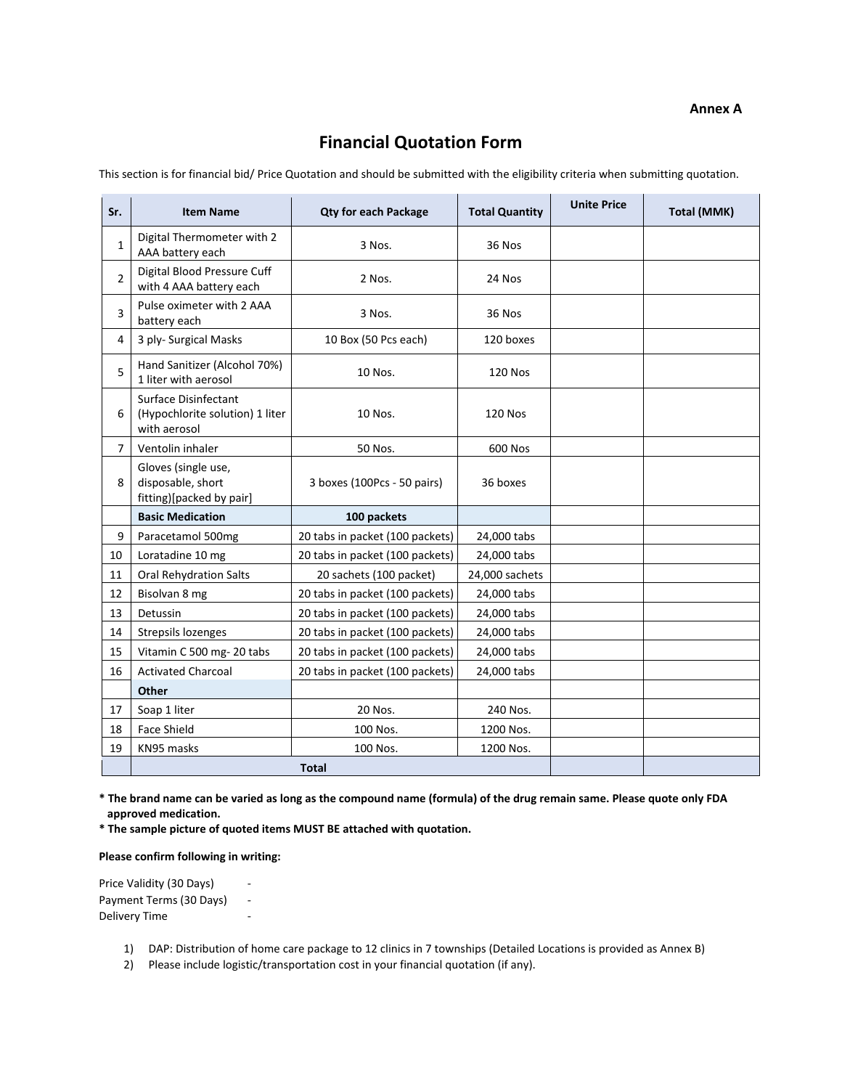#### **Annex A**

# **Financial Quotation Form**

This section is for financial bid/ Price Quotation and should be submitted with the eligibility criteria when submitting quotation.

| Sr.            | <b>Item Name</b>                                                               | <b>Total Quantity</b><br><b>Qty for each Package</b> |                | <b>Unite Price</b> | Total (MMK) |
|----------------|--------------------------------------------------------------------------------|------------------------------------------------------|----------------|--------------------|-------------|
| $\mathbf{1}$   | Digital Thermometer with 2<br>AAA battery each                                 | 3 Nos.                                               | 36 Nos         |                    |             |
| $\overline{2}$ | Digital Blood Pressure Cuff<br>with 4 AAA battery each                         | 2 Nos.                                               | 24 Nos         |                    |             |
| 3              | Pulse oximeter with 2 AAA<br>battery each                                      | 3 Nos.                                               | 36 Nos         |                    |             |
| 4              | 3 ply- Surgical Masks                                                          | 10 Box (50 Pcs each)                                 | 120 boxes      |                    |             |
| 5              | Hand Sanitizer (Alcohol 70%)<br>1 liter with aerosol                           | 10 Nos.                                              | <b>120 Nos</b> |                    |             |
| 6              | <b>Surface Disinfectant</b><br>(Hypochlorite solution) 1 liter<br>with aerosol | 10 Nos.                                              | <b>120 Nos</b> |                    |             |
| $\overline{7}$ | Ventolin inhaler                                                               | 50 Nos.                                              | 600 Nos        |                    |             |
| 8              | Gloves (single use,<br>disposable, short<br>fitting)[packed by pair]           | 3 boxes (100Pcs - 50 pairs)                          | 36 boxes       |                    |             |
|                | <b>Basic Medication</b>                                                        | 100 packets                                          |                |                    |             |
| 9              | Paracetamol 500mg                                                              | 20 tabs in packet (100 packets)                      | 24,000 tabs    |                    |             |
| 10             | Loratadine 10 mg                                                               | 20 tabs in packet (100 packets)                      | 24,000 tabs    |                    |             |
| 11             | <b>Oral Rehydration Salts</b>                                                  | 20 sachets (100 packet)                              | 24,000 sachets |                    |             |
| 12             | Bisolvan 8 mg                                                                  | 20 tabs in packet (100 packets)                      | 24,000 tabs    |                    |             |
| 13             | Detussin                                                                       | 20 tabs in packet (100 packets)                      | 24,000 tabs    |                    |             |
| 14             | Strepsils lozenges                                                             | 20 tabs in packet (100 packets)                      | 24,000 tabs    |                    |             |
| 15             | Vitamin C 500 mg-20 tabs                                                       | 20 tabs in packet (100 packets)                      | 24,000 tabs    |                    |             |
| 16             | <b>Activated Charcoal</b>                                                      | 20 tabs in packet (100 packets)                      | 24,000 tabs    |                    |             |
|                | <b>Other</b>                                                                   |                                                      |                |                    |             |
| 17             | Soap 1 liter                                                                   | 20 Nos.                                              | 240 Nos.       |                    |             |
| 18             | <b>Face Shield</b>                                                             | 100 Nos.                                             | 1200 Nos.      |                    |             |
| 19             | KN95 masks                                                                     | 100 Nos.                                             | 1200 Nos.      |                    |             |
|                |                                                                                | <b>Total</b>                                         |                |                    |             |

**\* The brand name can be varied as long as the compound name (formula) of the drug remain same. Please quote only FDA approved medication.**

**\* The sample picture of quoted items MUST BE attached with quotation.**

#### **Please confirm following in writing:**

Price Validity (30 Days) -Payment Terms (30 Days) ‐ Delivery Time

1) DAP: Distribution of home care package to 12 clinics in 7 townships (Detailed Locations is provided as Annex B)

2) Please include logistic/transportation cost in your financial quotation (if any).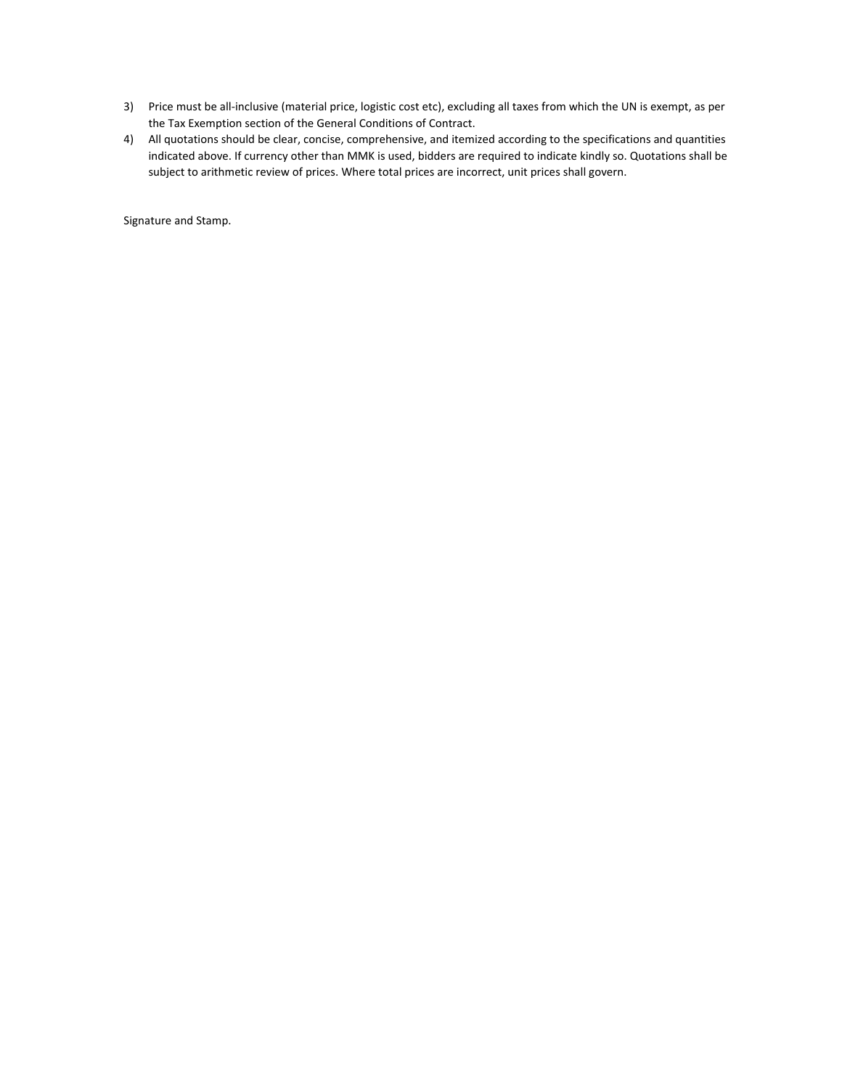- 3) Price must be all‐inclusive (material price, logistic cost etc), excluding all taxes from which the UN is exempt, as per the Tax Exemption section of the General Conditions of Contract.
- 4) All quotations should be clear, concise, comprehensive, and itemized according to the specifications and quantities indicated above. If currency other than MMK is used, bidders are required to indicate kindly so. Quotations shall be subject to arithmetic review of prices. Where total prices are incorrect, unit prices shall govern.

Signature and Stamp.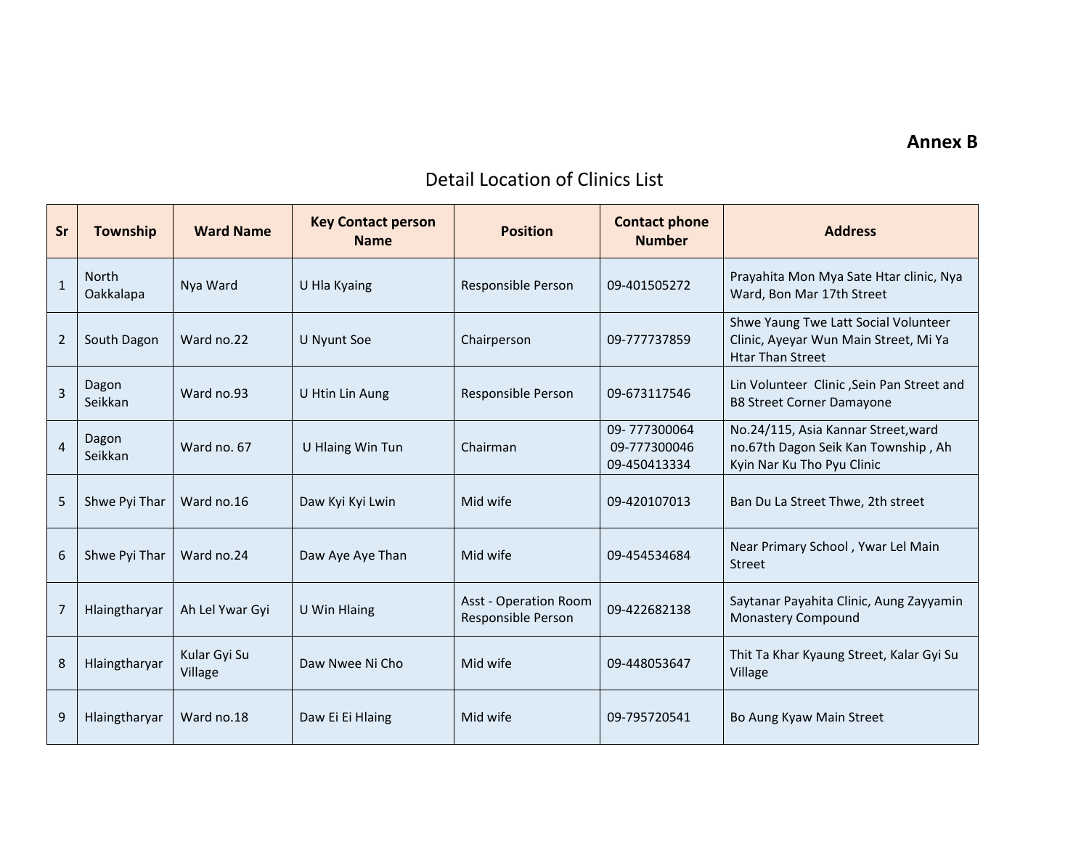### **Annex B**

# Detail Location of Clinics List

| <b>Sr</b>      | Township                  | <b>Ward Name</b>        | <b>Key Contact person</b><br><b>Name</b> | <b>Position</b>                                    | <b>Contact phone</b><br><b>Number</b>        | <b>Address</b>                                                                                           |
|----------------|---------------------------|-------------------------|------------------------------------------|----------------------------------------------------|----------------------------------------------|----------------------------------------------------------------------------------------------------------|
| $\mathbf{1}$   | <b>North</b><br>Oakkalapa | Nya Ward                | U Hla Kyaing                             | Responsible Person                                 | 09-401505272                                 | Prayahita Mon Mya Sate Htar clinic, Nya<br>Ward, Bon Mar 17th Street                                     |
| $\overline{2}$ | South Dagon               | Ward no.22              | U Nyunt Soe                              | Chairperson                                        | 09-777737859                                 | Shwe Yaung Twe Latt Social Volunteer<br>Clinic, Ayeyar Wun Main Street, Mi Ya<br><b>Htar Than Street</b> |
| $\overline{3}$ | Dagon<br>Seikkan          | Ward no.93              | U Htin Lin Aung                          | Responsible Person                                 | 09-673117546                                 | Lin Volunteer Clinic, Sein Pan Street and<br><b>B8 Street Corner Damayone</b>                            |
| $\overline{4}$ | Dagon<br>Seikkan          | Ward no. 67             | U Hlaing Win Tun                         | Chairman                                           | 09-777300064<br>09-777300046<br>09-450413334 | No.24/115, Asia Kannar Street, ward<br>no.67th Dagon Seik Kan Township, Ah<br>Kyin Nar Ku Tho Pyu Clinic |
| 5              | Shwe Pyi Thar             | Ward no.16              | Daw Kyi Kyi Lwin                         | Mid wife                                           | 09-420107013                                 | Ban Du La Street Thwe, 2th street                                                                        |
| 6              | Shwe Pyi Thar             | Ward no.24              | Daw Aye Aye Than                         | Mid wife                                           | 09-454534684                                 | Near Primary School, Ywar Lel Main<br><b>Street</b>                                                      |
| 7              | Hlaingtharyar             | Ah Lel Ywar Gyi         | U Win Hlaing                             | <b>Asst - Operation Room</b><br>Responsible Person | 09-422682138                                 | Saytanar Payahita Clinic, Aung Zayyamin<br><b>Monastery Compound</b>                                     |
| 8              | Hlaingtharyar             | Kular Gyi Su<br>Village | Daw Nwee Ni Cho                          | Mid wife                                           | 09-448053647                                 | Thit Ta Khar Kyaung Street, Kalar Gyi Su<br>Village                                                      |
| 9              | Hlaingtharyar             | Ward no.18              | Daw Ei Ei Hlaing                         | Mid wife                                           | 09-795720541                                 | Bo Aung Kyaw Main Street                                                                                 |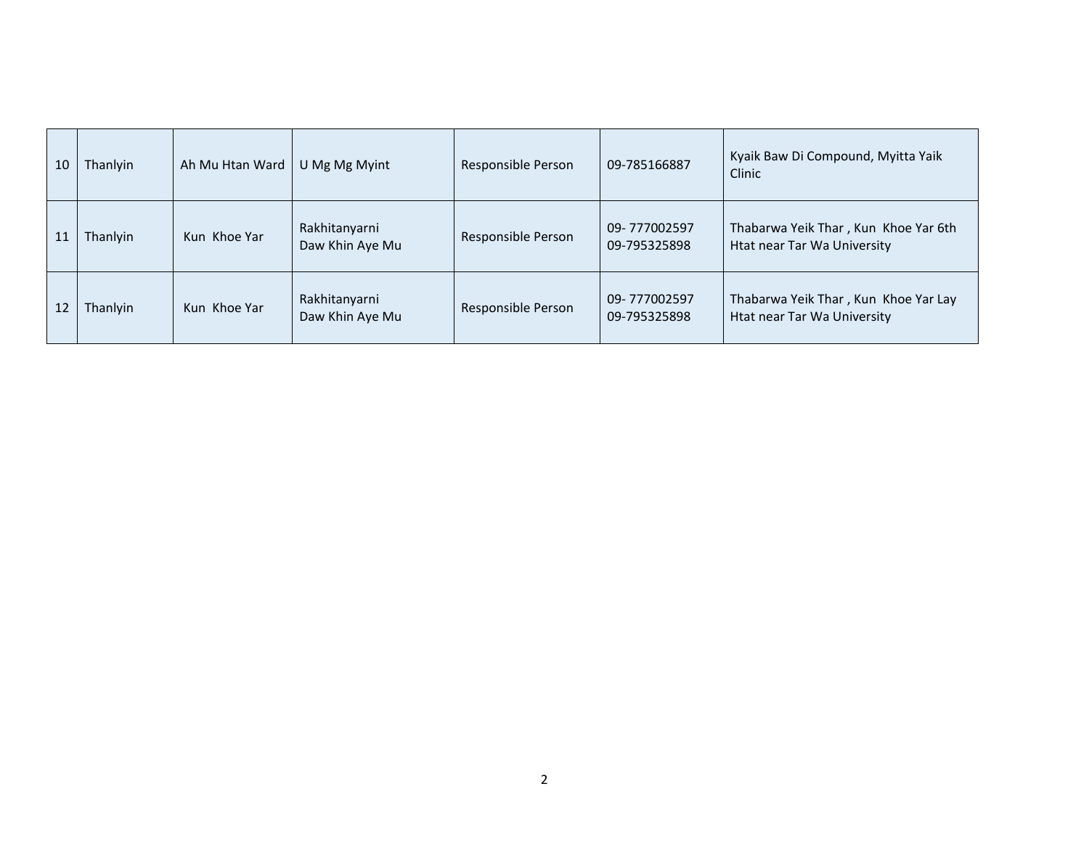| 10 | Thanlyin | Ah Mu Htan Ward | U Mg Mg Myint                    | Responsible Person | 09-785166887                 | Kyaik Baw Di Compound, Myitta Yaik<br>Clinic                        |
|----|----------|-----------------|----------------------------------|--------------------|------------------------------|---------------------------------------------------------------------|
| 11 | Thanlyin | Kun Khoe Yar    | Rakhitanyarni<br>Daw Khin Aye Mu | Responsible Person | 09-777002597<br>09-795325898 | Thabarwa Yeik Thar, Kun Khoe Yar 6th<br>Htat near Tar Wa University |
| 12 | Thanlyin | Kun Khoe Yar    | Rakhitanyarni<br>Daw Khin Aye Mu | Responsible Person | 09-777002597<br>09-795325898 | Thabarwa Yeik Thar, Kun Khoe Yar Lay<br>Htat near Tar Wa University |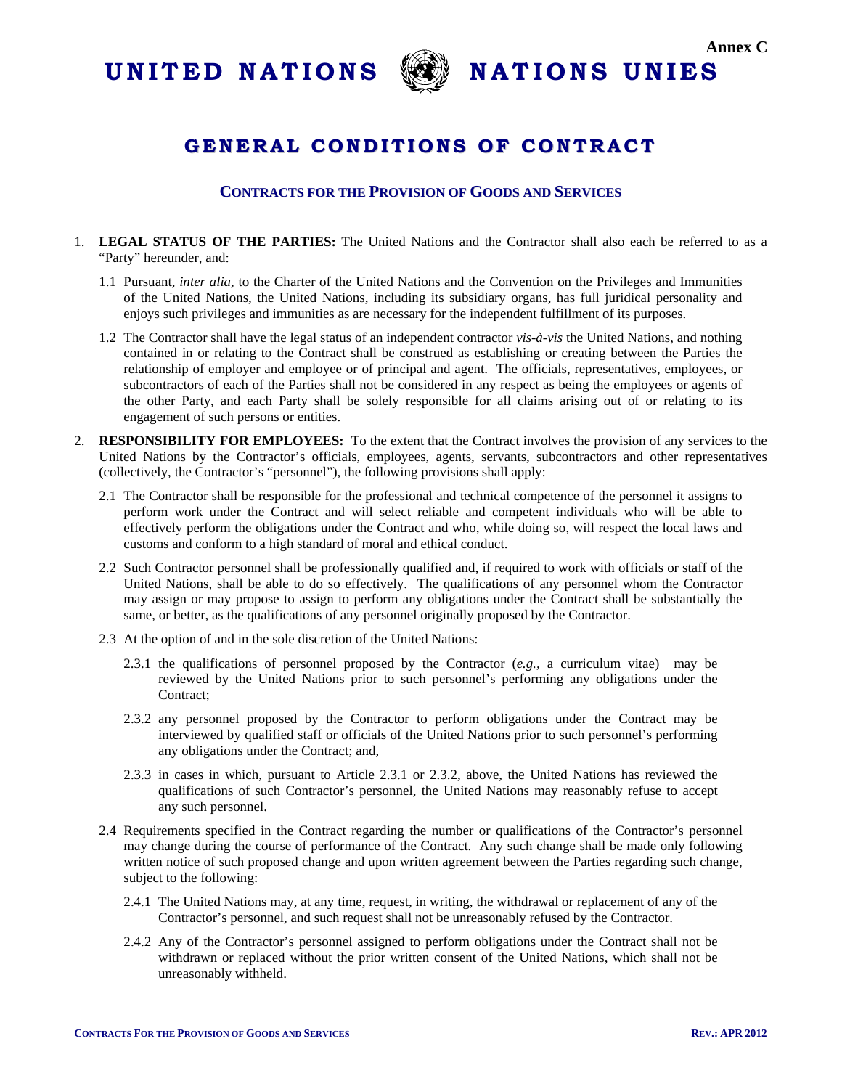



# **GENERAL C O NDI TI O NS O F C O NTRACT**

#### **CONTRACTS FOR THE PROVISION OF GOODS AND SERVICES**

- 1. **LEGAL STATUS OF THE PARTIES:** The United Nations and the Contractor shall also each be referred to as a "Party" hereunder, and:
	- 1.1 Pursuant, *inter alia,* to the Charter of the United Nations and the Convention on the Privileges and Immunities of the United Nations, the United Nations, including its subsidiary organs, has full juridical personality and enjoys such privileges and immunities as are necessary for the independent fulfillment of its purposes.
	- 1.2 The Contractor shall have the legal status of an independent contractor *vis-à-vis* the United Nations, and nothing contained in or relating to the Contract shall be construed as establishing or creating between the Parties the relationship of employer and employee or of principal and agent. The officials, representatives, employees, or subcontractors of each of the Parties shall not be considered in any respect as being the employees or agents of the other Party, and each Party shall be solely responsible for all claims arising out of or relating to its engagement of such persons or entities.
- 2. **RESPONSIBILITY FOR EMPLOYEES:** To the extent that the Contract involves the provision of any services to the United Nations by the Contractor's officials, employees, agents, servants, subcontractors and other representatives (collectively, the Contractor's "personnel"), the following provisions shall apply:
	- 2.1 The Contractor shall be responsible for the professional and technical competence of the personnel it assigns to perform work under the Contract and will select reliable and competent individuals who will be able to effectively perform the obligations under the Contract and who, while doing so, will respect the local laws and customs and conform to a high standard of moral and ethical conduct.
	- 2.2 Such Contractor personnel shall be professionally qualified and, if required to work with officials or staff of the United Nations, shall be able to do so effectively. The qualifications of any personnel whom the Contractor may assign or may propose to assign to perform any obligations under the Contract shall be substantially the same, or better, as the qualifications of any personnel originally proposed by the Contractor.
	- 2.3 At the option of and in the sole discretion of the United Nations:
		- 2.3.1 the qualifications of personnel proposed by the Contractor (*e.g.,* a curriculum vitae) may be reviewed by the United Nations prior to such personnel's performing any obligations under the Contract:
		- 2.3.2 any personnel proposed by the Contractor to perform obligations under the Contract may be interviewed by qualified staff or officials of the United Nations prior to such personnel's performing any obligations under the Contract; and,
		- 2.3.3 in cases in which, pursuant to Article 2.3.1 or 2.3.2, above, the United Nations has reviewed the qualifications of such Contractor's personnel, the United Nations may reasonably refuse to accept any such personnel.
	- 2.4 Requirements specified in the Contract regarding the number or qualifications of the Contractor's personnel may change during the course of performance of the Contract. Any such change shall be made only following written notice of such proposed change and upon written agreement between the Parties regarding such change, subject to the following:
		- 2.4.1 The United Nations may, at any time, request, in writing, the withdrawal or replacement of any of the Contractor's personnel, and such request shall not be unreasonably refused by the Contractor.
		- 2.4.2 Any of the Contractor's personnel assigned to perform obligations under the Contract shall not be withdrawn or replaced without the prior written consent of the United Nations, which shall not be unreasonably withheld.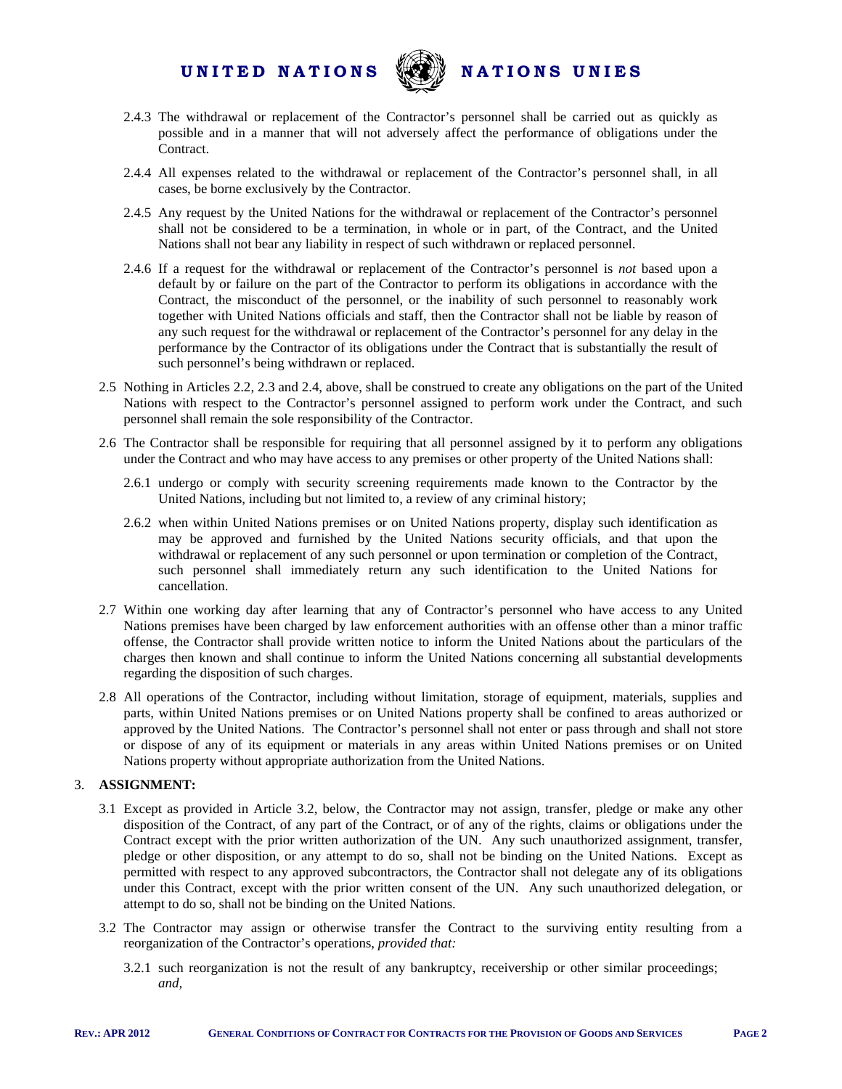

- 2.4.3 The withdrawal or replacement of the Contractor's personnel shall be carried out as quickly as possible and in a manner that will not adversely affect the performance of obligations under the Contract.
- 2.4.4 All expenses related to the withdrawal or replacement of the Contractor's personnel shall, in all cases, be borne exclusively by the Contractor.
- 2.4.5 Any request by the United Nations for the withdrawal or replacement of the Contractor's personnel shall not be considered to be a termination, in whole or in part, of the Contract, and the United Nations shall not bear any liability in respect of such withdrawn or replaced personnel.
- 2.4.6 If a request for the withdrawal or replacement of the Contractor's personnel is *not* based upon a default by or failure on the part of the Contractor to perform its obligations in accordance with the Contract, the misconduct of the personnel, or the inability of such personnel to reasonably work together with United Nations officials and staff, then the Contractor shall not be liable by reason of any such request for the withdrawal or replacement of the Contractor's personnel for any delay in the performance by the Contractor of its obligations under the Contract that is substantially the result of such personnel's being withdrawn or replaced.
- 2.5 Nothing in Articles 2.2, 2.3 and 2.4, above, shall be construed to create any obligations on the part of the United Nations with respect to the Contractor's personnel assigned to perform work under the Contract, and such personnel shall remain the sole responsibility of the Contractor.
- 2.6 The Contractor shall be responsible for requiring that all personnel assigned by it to perform any obligations under the Contract and who may have access to any premises or other property of the United Nations shall:
	- 2.6.1 undergo or comply with security screening requirements made known to the Contractor by the United Nations, including but not limited to, a review of any criminal history;
	- 2.6.2 when within United Nations premises or on United Nations property, display such identification as may be approved and furnished by the United Nations security officials, and that upon the withdrawal or replacement of any such personnel or upon termination or completion of the Contract, such personnel shall immediately return any such identification to the United Nations for cancellation.
- 2.7 Within one working day after learning that any of Contractor's personnel who have access to any United Nations premises have been charged by law enforcement authorities with an offense other than a minor traffic offense, the Contractor shall provide written notice to inform the United Nations about the particulars of the charges then known and shall continue to inform the United Nations concerning all substantial developments regarding the disposition of such charges.
- 2.8 All operations of the Contractor, including without limitation, storage of equipment, materials, supplies and parts, within United Nations premises or on United Nations property shall be confined to areas authorized or approved by the United Nations. The Contractor's personnel shall not enter or pass through and shall not store or dispose of any of its equipment or materials in any areas within United Nations premises or on United Nations property without appropriate authorization from the United Nations.

#### 3. **ASSIGNMENT:**

- 3.1 Except as provided in Article 3.2, below, the Contractor may not assign, transfer, pledge or make any other disposition of the Contract, of any part of the Contract, or of any of the rights, claims or obligations under the Contract except with the prior written authorization of the UN. Any such unauthorized assignment, transfer, pledge or other disposition, or any attempt to do so, shall not be binding on the United Nations. Except as permitted with respect to any approved subcontractors, the Contractor shall not delegate any of its obligations under this Contract, except with the prior written consent of the UN. Any such unauthorized delegation, or attempt to do so, shall not be binding on the United Nations.
- 3.2 The Contractor may assign or otherwise transfer the Contract to the surviving entity resulting from a reorganization of the Contractor's operations, *provided that:*
	- 3.2.1 such reorganization is not the result of any bankruptcy, receivership or other similar proceedings; *and,*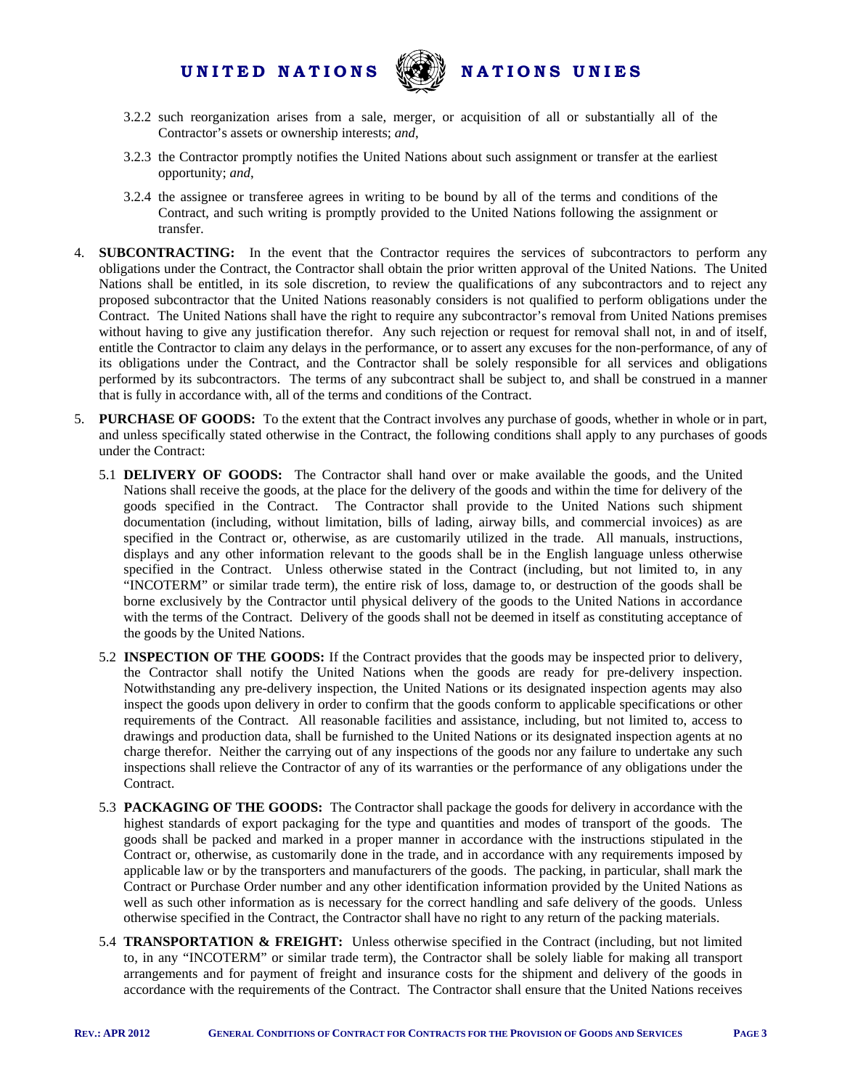

- 3.2.2 such reorganization arises from a sale, merger, or acquisition of all or substantially all of the Contractor's assets or ownership interests; *and*,
- 3.2.3 the Contractor promptly notifies the United Nations about such assignment or transfer at the earliest opportunity; *and*,
- 3.2.4 the assignee or transferee agrees in writing to be bound by all of the terms and conditions of the Contract, and such writing is promptly provided to the United Nations following the assignment or transfer.
- 4. **SUBCONTRACTING:** In the event that the Contractor requires the services of subcontractors to perform any obligations under the Contract, the Contractor shall obtain the prior written approval of the United Nations. The United Nations shall be entitled, in its sole discretion, to review the qualifications of any subcontractors and to reject any proposed subcontractor that the United Nations reasonably considers is not qualified to perform obligations under the Contract. The United Nations shall have the right to require any subcontractor's removal from United Nations premises without having to give any justification therefor. Any such rejection or request for removal shall not, in and of itself, entitle the Contractor to claim any delays in the performance, or to assert any excuses for the non-performance, of any of its obligations under the Contract, and the Contractor shall be solely responsible for all services and obligations performed by its subcontractors. The terms of any subcontract shall be subject to, and shall be construed in a manner that is fully in accordance with, all of the terms and conditions of the Contract.
- 5. **PURCHASE OF GOODS:** To the extent that the Contract involves any purchase of goods, whether in whole or in part, and unless specifically stated otherwise in the Contract, the following conditions shall apply to any purchases of goods under the Contract:
	- 5.1 **DELIVERY OF GOODS:** The Contractor shall hand over or make available the goods, and the United Nations shall receive the goods, at the place for the delivery of the goods and within the time for delivery of the goods specified in the Contract. The Contractor shall provide to the United Nations such shipment documentation (including, without limitation, bills of lading, airway bills, and commercial invoices) as are specified in the Contract or, otherwise, as are customarily utilized in the trade. All manuals, instructions, displays and any other information relevant to the goods shall be in the English language unless otherwise specified in the Contract. Unless otherwise stated in the Contract (including, but not limited to, in any "INCOTERM" or similar trade term), the entire risk of loss, damage to, or destruction of the goods shall be borne exclusively by the Contractor until physical delivery of the goods to the United Nations in accordance with the terms of the Contract. Delivery of the goods shall not be deemed in itself as constituting acceptance of the goods by the United Nations.
	- 5.2 **INSPECTION OF THE GOODS:** If the Contract provides that the goods may be inspected prior to delivery, the Contractor shall notify the United Nations when the goods are ready for pre-delivery inspection. Notwithstanding any pre-delivery inspection, the United Nations or its designated inspection agents may also inspect the goods upon delivery in order to confirm that the goods conform to applicable specifications or other requirements of the Contract. All reasonable facilities and assistance, including, but not limited to, access to drawings and production data, shall be furnished to the United Nations or its designated inspection agents at no charge therefor. Neither the carrying out of any inspections of the goods nor any failure to undertake any such inspections shall relieve the Contractor of any of its warranties or the performance of any obligations under the Contract.
	- 5.3 **PACKAGING OF THE GOODS:** The Contractor shall package the goods for delivery in accordance with the highest standards of export packaging for the type and quantities and modes of transport of the goods. The goods shall be packed and marked in a proper manner in accordance with the instructions stipulated in the Contract or, otherwise, as customarily done in the trade, and in accordance with any requirements imposed by applicable law or by the transporters and manufacturers of the goods. The packing, in particular, shall mark the Contract or Purchase Order number and any other identification information provided by the United Nations as well as such other information as is necessary for the correct handling and safe delivery of the goods. Unless otherwise specified in the Contract, the Contractor shall have no right to any return of the packing materials.
	- 5.4 **TRANSPORTATION & FREIGHT:** Unless otherwise specified in the Contract (including, but not limited to, in any "INCOTERM" or similar trade term), the Contractor shall be solely liable for making all transport arrangements and for payment of freight and insurance costs for the shipment and delivery of the goods in accordance with the requirements of the Contract. The Contractor shall ensure that the United Nations receives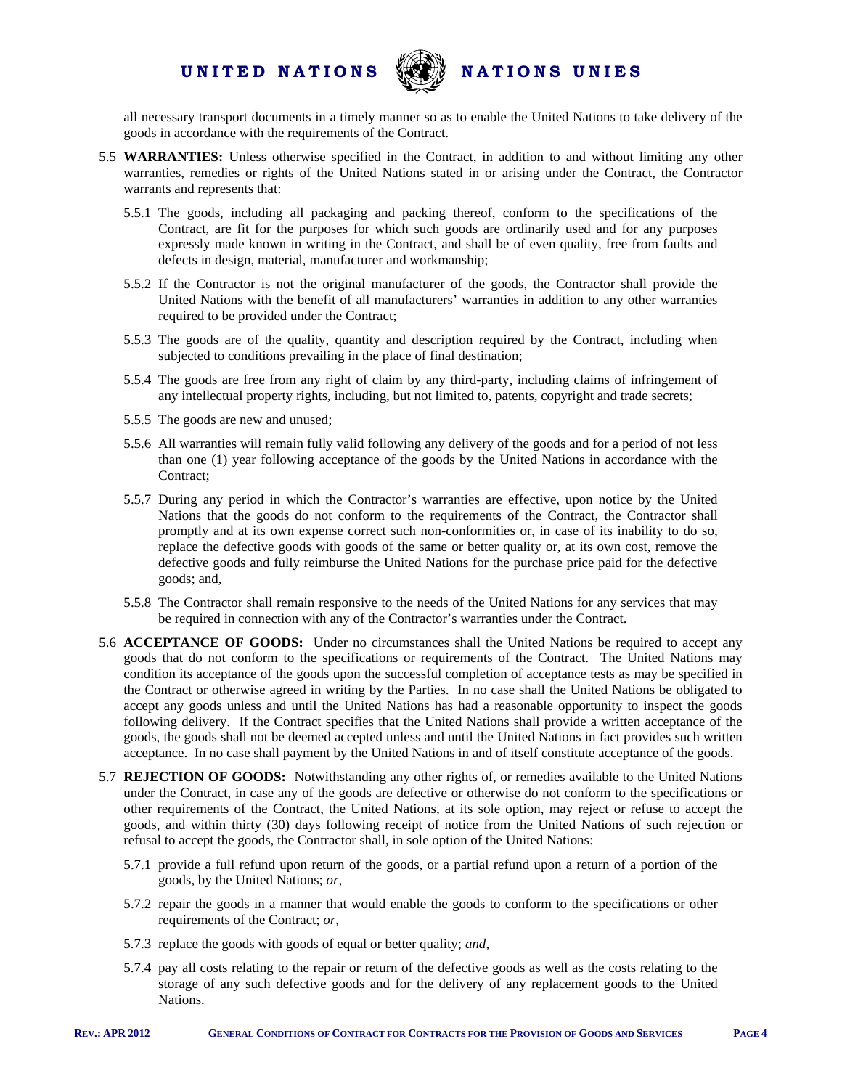

all necessary transport documents in a timely manner so as to enable the United Nations to take delivery of the goods in accordance with the requirements of the Contract.

- 5.5 **WARRANTIES:** Unless otherwise specified in the Contract, in addition to and without limiting any other warranties, remedies or rights of the United Nations stated in or arising under the Contract, the Contractor warrants and represents that:
	- 5.5.1 The goods, including all packaging and packing thereof, conform to the specifications of the Contract, are fit for the purposes for which such goods are ordinarily used and for any purposes expressly made known in writing in the Contract, and shall be of even quality, free from faults and defects in design, material, manufacturer and workmanship;
	- 5.5.2 If the Contractor is not the original manufacturer of the goods, the Contractor shall provide the United Nations with the benefit of all manufacturers' warranties in addition to any other warranties required to be provided under the Contract;
	- 5.5.3 The goods are of the quality, quantity and description required by the Contract, including when subjected to conditions prevailing in the place of final destination;
	- 5.5.4 The goods are free from any right of claim by any third-party, including claims of infringement of any intellectual property rights, including, but not limited to, patents, copyright and trade secrets;
	- 5.5.5 The goods are new and unused;
	- 5.5.6 All warranties will remain fully valid following any delivery of the goods and for a period of not less than one (1) year following acceptance of the goods by the United Nations in accordance with the Contract:
	- 5.5.7 During any period in which the Contractor's warranties are effective, upon notice by the United Nations that the goods do not conform to the requirements of the Contract, the Contractor shall promptly and at its own expense correct such non-conformities or, in case of its inability to do so, replace the defective goods with goods of the same or better quality or, at its own cost, remove the defective goods and fully reimburse the United Nations for the purchase price paid for the defective goods; and,
	- 5.5.8 The Contractor shall remain responsive to the needs of the United Nations for any services that may be required in connection with any of the Contractor's warranties under the Contract.
- 5.6 **ACCEPTANCE OF GOODS:** Under no circumstances shall the United Nations be required to accept any goods that do not conform to the specifications or requirements of the Contract. The United Nations may condition its acceptance of the goods upon the successful completion of acceptance tests as may be specified in the Contract or otherwise agreed in writing by the Parties. In no case shall the United Nations be obligated to accept any goods unless and until the United Nations has had a reasonable opportunity to inspect the goods following delivery. If the Contract specifies that the United Nations shall provide a written acceptance of the goods, the goods shall not be deemed accepted unless and until the United Nations in fact provides such written acceptance. In no case shall payment by the United Nations in and of itself constitute acceptance of the goods.
- 5.7 **REJECTION OF GOODS:** Notwithstanding any other rights of, or remedies available to the United Nations under the Contract, in case any of the goods are defective or otherwise do not conform to the specifications or other requirements of the Contract, the United Nations, at its sole option, may reject or refuse to accept the goods, and within thirty (30) days following receipt of notice from the United Nations of such rejection or refusal to accept the goods, the Contractor shall, in sole option of the United Nations:
	- 5.7.1 provide a full refund upon return of the goods, or a partial refund upon a return of a portion of the goods, by the United Nations; *or,*
	- 5.7.2 repair the goods in a manner that would enable the goods to conform to the specifications or other requirements of the Contract; *or*,
	- 5.7.3 replace the goods with goods of equal or better quality; *and*,
	- 5.7.4 pay all costs relating to the repair or return of the defective goods as well as the costs relating to the storage of any such defective goods and for the delivery of any replacement goods to the United Nations.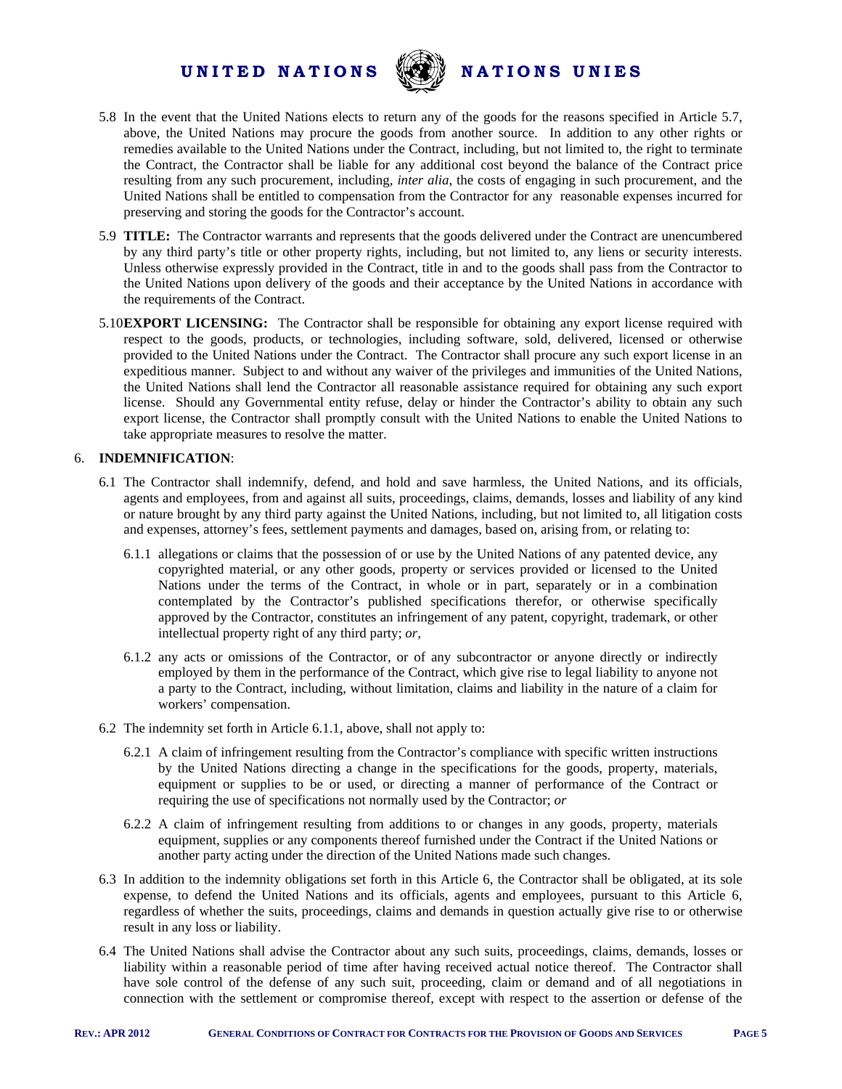

- 5.8 In the event that the United Nations elects to return any of the goods for the reasons specified in Article 5.7, above, the United Nations may procure the goods from another source. In addition to any other rights or remedies available to the United Nations under the Contract, including, but not limited to, the right to terminate the Contract, the Contractor shall be liable for any additional cost beyond the balance of the Contract price resulting from any such procurement, including, *inter alia*, the costs of engaging in such procurement, and the United Nations shall be entitled to compensation from the Contractor for any reasonable expenses incurred for preserving and storing the goods for the Contractor's account.
- 5.9 **TITLE:** The Contractor warrants and represents that the goods delivered under the Contract are unencumbered by any third party's title or other property rights, including, but not limited to, any liens or security interests. Unless otherwise expressly provided in the Contract, title in and to the goods shall pass from the Contractor to the United Nations upon delivery of the goods and their acceptance by the United Nations in accordance with the requirements of the Contract.
- 5.10**EXPORT LICENSING:** The Contractor shall be responsible for obtaining any export license required with respect to the goods, products, or technologies, including software, sold, delivered, licensed or otherwise provided to the United Nations under the Contract. The Contractor shall procure any such export license in an expeditious manner. Subject to and without any waiver of the privileges and immunities of the United Nations, the United Nations shall lend the Contractor all reasonable assistance required for obtaining any such export license. Should any Governmental entity refuse, delay or hinder the Contractor's ability to obtain any such export license, the Contractor shall promptly consult with the United Nations to enable the United Nations to take appropriate measures to resolve the matter.

#### 6. **INDEMNIFICATION**:

- 6.1 The Contractor shall indemnify, defend, and hold and save harmless, the United Nations, and its officials, agents and employees, from and against all suits, proceedings, claims, demands, losses and liability of any kind or nature brought by any third party against the United Nations, including, but not limited to, all litigation costs and expenses, attorney's fees, settlement payments and damages, based on, arising from, or relating to:
	- 6.1.1 allegations or claims that the possession of or use by the United Nations of any patented device, any copyrighted material, or any other goods, property or services provided or licensed to the United Nations under the terms of the Contract, in whole or in part, separately or in a combination contemplated by the Contractor's published specifications therefor, or otherwise specifically approved by the Contractor, constitutes an infringement of any patent, copyright, trademark, or other intellectual property right of any third party; *or,*
	- 6.1.2 any acts or omissions of the Contractor, or of any subcontractor or anyone directly or indirectly employed by them in the performance of the Contract, which give rise to legal liability to anyone not a party to the Contract, including, without limitation, claims and liability in the nature of a claim for workers' compensation.
- 6.2 The indemnity set forth in Article 6.1.1, above, shall not apply to:
	- 6.2.1 A claim of infringement resulting from the Contractor's compliance with specific written instructions by the United Nations directing a change in the specifications for the goods, property, materials, equipment or supplies to be or used, or directing a manner of performance of the Contract or requiring the use of specifications not normally used by the Contractor; *or*
	- 6.2.2 A claim of infringement resulting from additions to or changes in any goods, property, materials equipment, supplies or any components thereof furnished under the Contract if the United Nations or another party acting under the direction of the United Nations made such changes.
- 6.3 In addition to the indemnity obligations set forth in this Article 6, the Contractor shall be obligated, at its sole expense, to defend the United Nations and its officials, agents and employees, pursuant to this Article 6, regardless of whether the suits, proceedings, claims and demands in question actually give rise to or otherwise result in any loss or liability.
- 6.4 The United Nations shall advise the Contractor about any such suits, proceedings, claims, demands, losses or liability within a reasonable period of time after having received actual notice thereof. The Contractor shall have sole control of the defense of any such suit, proceeding, claim or demand and of all negotiations in connection with the settlement or compromise thereof, except with respect to the assertion or defense of the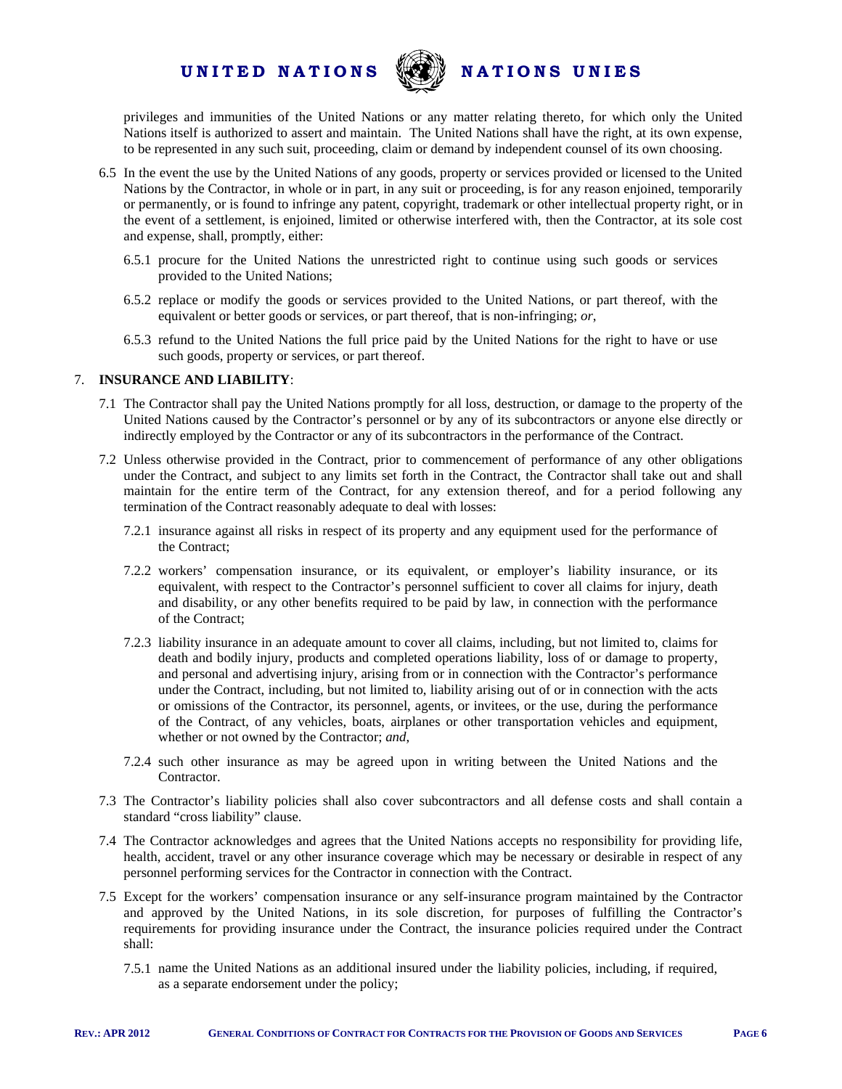

privileges and immunities of the United Nations or any matter relating thereto, for which only the United Nations itself is authorized to assert and maintain. The United Nations shall have the right, at its own expense, to be represented in any such suit, proceeding, claim or demand by independent counsel of its own choosing.

- 6.5 In the event the use by the United Nations of any goods, property or services provided or licensed to the United Nations by the Contractor, in whole or in part, in any suit or proceeding, is for any reason enjoined, temporarily or permanently, or is found to infringe any patent, copyright, trademark or other intellectual property right, or in the event of a settlement, is enjoined, limited or otherwise interfered with, then the Contractor, at its sole cost and expense, shall, promptly, either:
	- 6.5.1 procure for the United Nations the unrestricted right to continue using such goods or services provided to the United Nations;
	- 6.5.2 replace or modify the goods or services provided to the United Nations, or part thereof, with the equivalent or better goods or services, or part thereof, that is non-infringing; *or*,
	- 6.5.3 refund to the United Nations the full price paid by the United Nations for the right to have or use such goods, property or services, or part thereof.

#### 7. **INSURANCE AND LIABILITY**:

- 7.1 The Contractor shall pay the United Nations promptly for all loss, destruction, or damage to the property of the United Nations caused by the Contractor's personnel or by any of its subcontractors or anyone else directly or indirectly employed by the Contractor or any of its subcontractors in the performance of the Contract.
- 7.2 Unless otherwise provided in the Contract, prior to commencement of performance of any other obligations under the Contract, and subject to any limits set forth in the Contract, the Contractor shall take out and shall maintain for the entire term of the Contract, for any extension thereof, and for a period following any termination of the Contract reasonably adequate to deal with losses:
	- 7.2.1 insurance against all risks in respect of its property and any equipment used for the performance of the Contract;
	- 7.2.2 workers' compensation insurance, or its equivalent, or employer's liability insurance, or its equivalent, with respect to the Contractor's personnel sufficient to cover all claims for injury, death and disability, or any other benefits required to be paid by law, in connection with the performance of the Contract;
	- 7.2.3 liability insurance in an adequate amount to cover all claims, including, but not limited to, claims for death and bodily injury, products and completed operations liability, loss of or damage to property, and personal and advertising injury, arising from or in connection with the Contractor's performance under the Contract, including, but not limited to, liability arising out of or in connection with the acts or omissions of the Contractor, its personnel, agents, or invitees, or the use, during the performance of the Contract, of any vehicles, boats, airplanes or other transportation vehicles and equipment, whether or not owned by the Contractor; *and*,
	- 7.2.4 such other insurance as may be agreed upon in writing between the United Nations and the Contractor.
- 7.3 The Contractor's liability policies shall also cover subcontractors and all defense costs and shall contain a standard "cross liability" clause.
- 7.4 The Contractor acknowledges and agrees that the United Nations accepts no responsibility for providing life, health, accident, travel or any other insurance coverage which may be necessary or desirable in respect of any personnel performing services for the Contractor in connection with the Contract.
- 7.5 Except for the workers' compensation insurance or any self-insurance program maintained by the Contractor and approved by the United Nations, in its sole discretion, for purposes of fulfilling the Contractor's requirements for providing insurance under the Contract, the insurance policies required under the Contract shall:
	- 7.5.1 name the United Nations as an additional insured under the liability policies, including, if required, as a separate endorsement under the policy;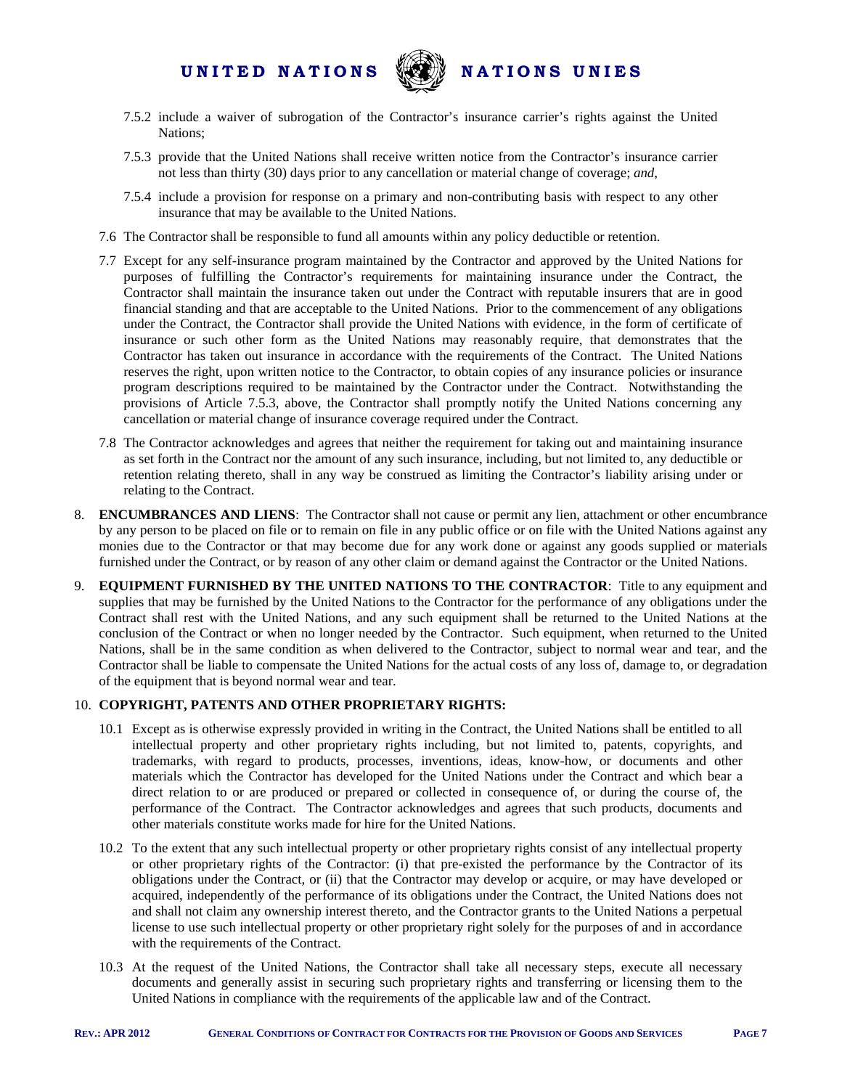

- 7.5.2 include a waiver of subrogation of the Contractor's insurance carrier's rights against the United Nations;
- 7.5.3 provide that the United Nations shall receive written notice from the Contractor's insurance carrier not less than thirty (30) days prior to any cancellation or material change of coverage; *and*,
- 7.5.4 include a provision for response on a primary and non-contributing basis with respect to any other insurance that may be available to the United Nations.
- 7.6 The Contractor shall be responsible to fund all amounts within any policy deductible or retention.
- 7.7 Except for any self-insurance program maintained by the Contractor and approved by the United Nations for purposes of fulfilling the Contractor's requirements for maintaining insurance under the Contract, the Contractor shall maintain the insurance taken out under the Contract with reputable insurers that are in good financial standing and that are acceptable to the United Nations. Prior to the commencement of any obligations under the Contract, the Contractor shall provide the United Nations with evidence, in the form of certificate of insurance or such other form as the United Nations may reasonably require, that demonstrates that the Contractor has taken out insurance in accordance with the requirements of the Contract. The United Nations reserves the right, upon written notice to the Contractor, to obtain copies of any insurance policies or insurance program descriptions required to be maintained by the Contractor under the Contract. Notwithstanding the provisions of Article 7.5.3, above, the Contractor shall promptly notify the United Nations concerning any cancellation or material change of insurance coverage required under the Contract.
- 7.8 The Contractor acknowledges and agrees that neither the requirement for taking out and maintaining insurance as set forth in the Contract nor the amount of any such insurance, including, but not limited to, any deductible or retention relating thereto, shall in any way be construed as limiting the Contractor's liability arising under or relating to the Contract.
- 8. **ENCUMBRANCES AND LIENS**: The Contractor shall not cause or permit any lien, attachment or other encumbrance by any person to be placed on file or to remain on file in any public office or on file with the United Nations against any monies due to the Contractor or that may become due for any work done or against any goods supplied or materials furnished under the Contract, or by reason of any other claim or demand against the Contractor or the United Nations.
- 9. **EQUIPMENT FURNISHED BY THE UNITED NATIONS TO THE CONTRACTOR**: Title to any equipment and supplies that may be furnished by the United Nations to the Contractor for the performance of any obligations under the Contract shall rest with the United Nations, and any such equipment shall be returned to the United Nations at the conclusion of the Contract or when no longer needed by the Contractor. Such equipment, when returned to the United Nations, shall be in the same condition as when delivered to the Contractor, subject to normal wear and tear, and the Contractor shall be liable to compensate the United Nations for the actual costs of any loss of, damage to, or degradation of the equipment that is beyond normal wear and tear.

#### 10. **COPYRIGHT, PATENTS AND OTHER PROPRIETARY RIGHTS:**

- 10.1 Except as is otherwise expressly provided in writing in the Contract, the United Nations shall be entitled to all intellectual property and other proprietary rights including, but not limited to, patents, copyrights, and trademarks, with regard to products, processes, inventions, ideas, know-how, or documents and other materials which the Contractor has developed for the United Nations under the Contract and which bear a direct relation to or are produced or prepared or collected in consequence of, or during the course of, the performance of the Contract. The Contractor acknowledges and agrees that such products, documents and other materials constitute works made for hire for the United Nations.
- 10.2 To the extent that any such intellectual property or other proprietary rights consist of any intellectual property or other proprietary rights of the Contractor: (i) that pre-existed the performance by the Contractor of its obligations under the Contract, or (ii) that the Contractor may develop or acquire, or may have developed or acquired, independently of the performance of its obligations under the Contract, the United Nations does not and shall not claim any ownership interest thereto, and the Contractor grants to the United Nations a perpetual license to use such intellectual property or other proprietary right solely for the purposes of and in accordance with the requirements of the Contract.
- 10.3 At the request of the United Nations, the Contractor shall take all necessary steps, execute all necessary documents and generally assist in securing such proprietary rights and transferring or licensing them to the United Nations in compliance with the requirements of the applicable law and of the Contract.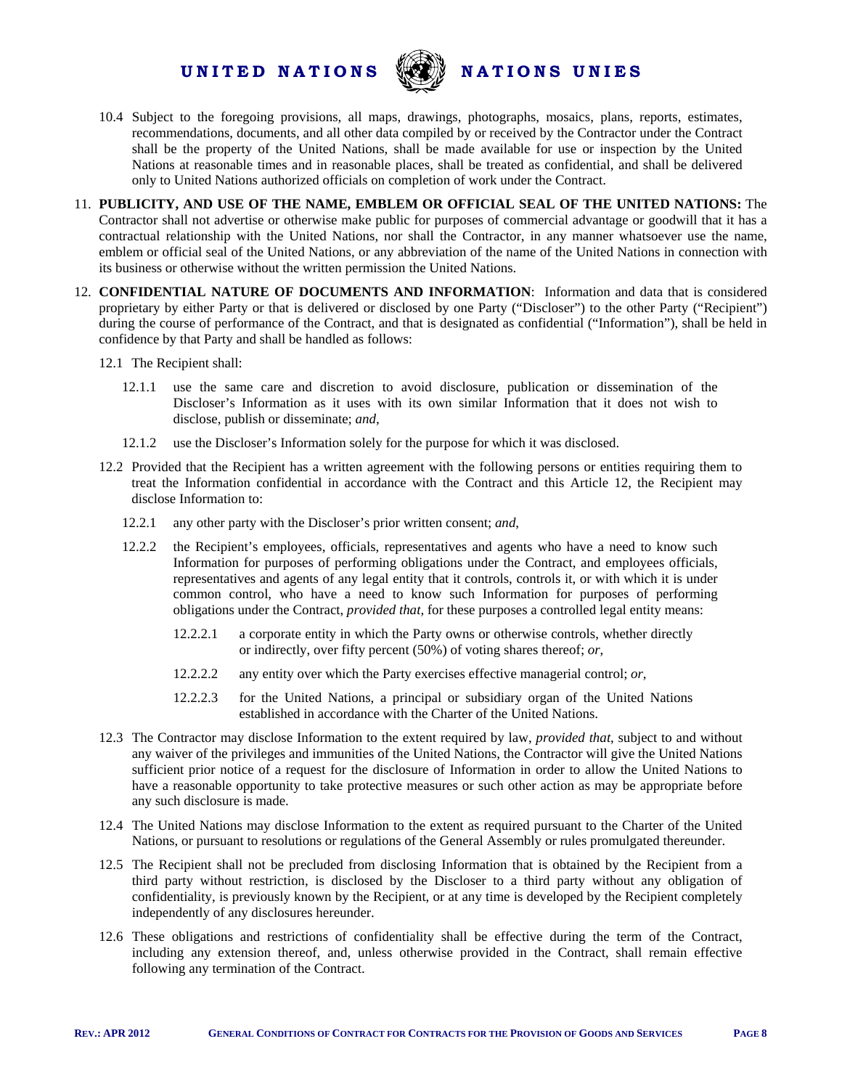

- 10.4 Subject to the foregoing provisions, all maps, drawings, photographs, mosaics, plans, reports, estimates, recommendations, documents, and all other data compiled by or received by the Contractor under the Contract shall be the property of the United Nations, shall be made available for use or inspection by the United Nations at reasonable times and in reasonable places, shall be treated as confidential, and shall be delivered only to United Nations authorized officials on completion of work under the Contract.
- 11. **PUBLICITY, AND USE OF THE NAME, EMBLEM OR OFFICIAL SEAL OF THE UNITED NATIONS:** The Contractor shall not advertise or otherwise make public for purposes of commercial advantage or goodwill that it has a contractual relationship with the United Nations, nor shall the Contractor, in any manner whatsoever use the name, emblem or official seal of the United Nations, or any abbreviation of the name of the United Nations in connection with its business or otherwise without the written permission the United Nations.
- 12. **CONFIDENTIAL NATURE OF DOCUMENTS AND INFORMATION**: Information and data that is considered proprietary by either Party or that is delivered or disclosed by one Party ("Discloser") to the other Party ("Recipient") during the course of performance of the Contract, and that is designated as confidential ("Information"), shall be held in confidence by that Party and shall be handled as follows:
	- 12.1 The Recipient shall:
		- 12.1.1 use the same care and discretion to avoid disclosure, publication or dissemination of the Discloser's Information as it uses with its own similar Information that it does not wish to disclose, publish or disseminate; *and*,
		- 12.1.2 use the Discloser's Information solely for the purpose for which it was disclosed.
	- 12.2 Provided that the Recipient has a written agreement with the following persons or entities requiring them to treat the Information confidential in accordance with the Contract and this Article 12, the Recipient may disclose Information to:
		- 12.2.1 any other party with the Discloser's prior written consent; *and*,
		- 12.2.2 the Recipient's employees, officials, representatives and agents who have a need to know such Information for purposes of performing obligations under the Contract, and employees officials, representatives and agents of any legal entity that it controls, controls it, or with which it is under common control, who have a need to know such Information for purposes of performing obligations under the Contract, *provided that,* for these purposes a controlled legal entity means:
			- 12.2.2.1 a corporate entity in which the Party owns or otherwise controls, whether directly or indirectly, over fifty percent (50%) of voting shares thereof; *or*,
			- 12.2.2.2 any entity over which the Party exercises effective managerial control; *or*,
			- 12.2.2.3 for the United Nations, a principal or subsidiary organ of the United Nations established in accordance with the Charter of the United Nations.
	- 12.3 The Contractor may disclose Information to the extent required by law, *provided that*, subject to and without any waiver of the privileges and immunities of the United Nations, the Contractor will give the United Nations sufficient prior notice of a request for the disclosure of Information in order to allow the United Nations to have a reasonable opportunity to take protective measures or such other action as may be appropriate before any such disclosure is made.
	- 12.4 The United Nations may disclose Information to the extent as required pursuant to the Charter of the United Nations, or pursuant to resolutions or regulations of the General Assembly or rules promulgated thereunder.
	- 12.5 The Recipient shall not be precluded from disclosing Information that is obtained by the Recipient from a third party without restriction, is disclosed by the Discloser to a third party without any obligation of confidentiality, is previously known by the Recipient, or at any time is developed by the Recipient completely independently of any disclosures hereunder.
	- 12.6 These obligations and restrictions of confidentiality shall be effective during the term of the Contract, including any extension thereof, and, unless otherwise provided in the Contract, shall remain effective following any termination of the Contract.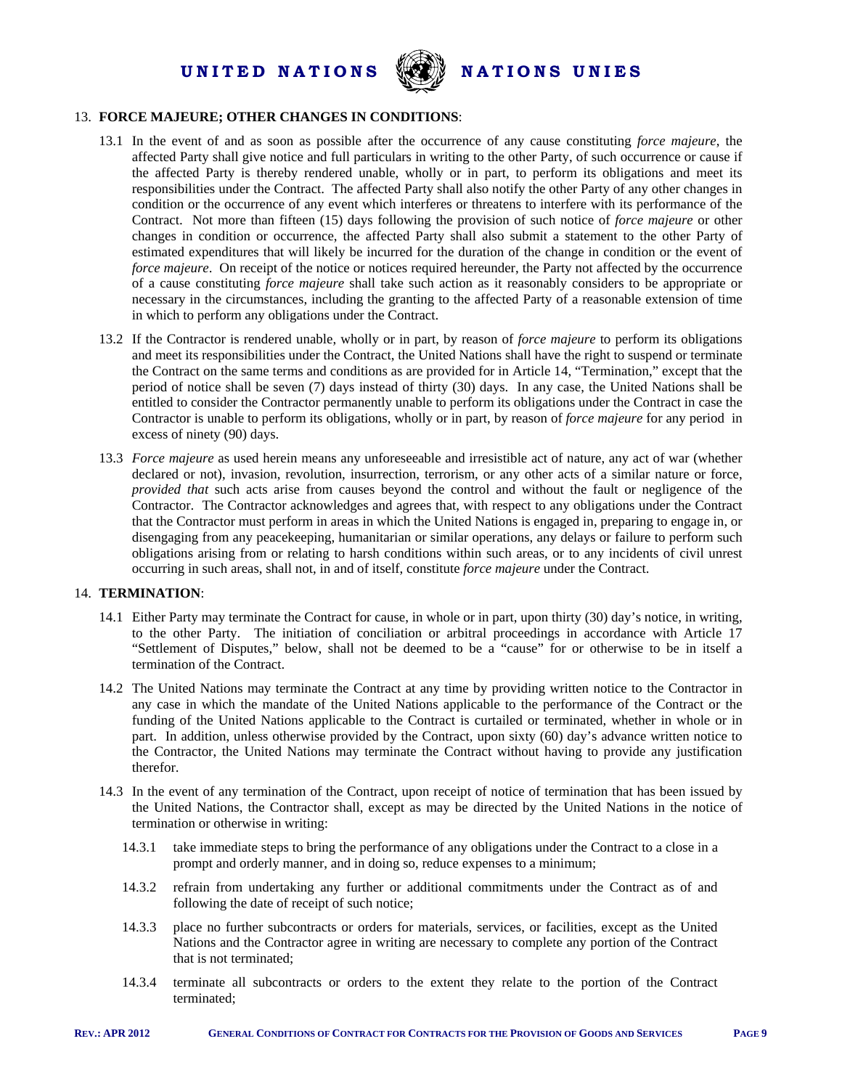

#### 13. **FORCE MAJEURE; OTHER CHANGES IN CONDITIONS**:

- 13.1 In the event of and as soon as possible after the occurrence of any cause constituting *force majeure*, the affected Party shall give notice and full particulars in writing to the other Party, of such occurrence or cause if the affected Party is thereby rendered unable, wholly or in part, to perform its obligations and meet its responsibilities under the Contract. The affected Party shall also notify the other Party of any other changes in condition or the occurrence of any event which interferes or threatens to interfere with its performance of the Contract. Not more than fifteen (15) days following the provision of such notice of *force majeure* or other changes in condition or occurrence, the affected Party shall also submit a statement to the other Party of estimated expenditures that will likely be incurred for the duration of the change in condition or the event of *force majeure*. On receipt of the notice or notices required hereunder, the Party not affected by the occurrence of a cause constituting *force majeure* shall take such action as it reasonably considers to be appropriate or necessary in the circumstances, including the granting to the affected Party of a reasonable extension of time in which to perform any obligations under the Contract.
- 13.2 If the Contractor is rendered unable, wholly or in part, by reason of *force majeure* to perform its obligations and meet its responsibilities under the Contract, the United Nations shall have the right to suspend or terminate the Contract on the same terms and conditions as are provided for in Article 14, "Termination," except that the period of notice shall be seven (7) days instead of thirty (30) days. In any case, the United Nations shall be entitled to consider the Contractor permanently unable to perform its obligations under the Contract in case the Contractor is unable to perform its obligations, wholly or in part, by reason of *force majeure* for any period in excess of ninety (90) days.
- 13.3 *Force majeure* as used herein means any unforeseeable and irresistible act of nature, any act of war (whether declared or not), invasion, revolution, insurrection, terrorism, or any other acts of a similar nature or force, *provided that* such acts arise from causes beyond the control and without the fault or negligence of the Contractor. The Contractor acknowledges and agrees that, with respect to any obligations under the Contract that the Contractor must perform in areas in which the United Nations is engaged in, preparing to engage in, or disengaging from any peacekeeping, humanitarian or similar operations, any delays or failure to perform such obligations arising from or relating to harsh conditions within such areas, or to any incidents of civil unrest occurring in such areas, shall not, in and of itself, constitute *force majeure* under the Contract.

#### 14. **TERMINATION**:

- 14.1 Either Party may terminate the Contract for cause, in whole or in part, upon thirty (30) day's notice, in writing, to the other Party. The initiation of conciliation or arbitral proceedings in accordance with Article 17 "Settlement of Disputes," below, shall not be deemed to be a "cause" for or otherwise to be in itself a termination of the Contract.
- 14.2 The United Nations may terminate the Contract at any time by providing written notice to the Contractor in any case in which the mandate of the United Nations applicable to the performance of the Contract or the funding of the United Nations applicable to the Contract is curtailed or terminated, whether in whole or in part. In addition, unless otherwise provided by the Contract, upon sixty (60) day's advance written notice to the Contractor, the United Nations may terminate the Contract without having to provide any justification therefor.
- 14.3 In the event of any termination of the Contract, upon receipt of notice of termination that has been issued by the United Nations, the Contractor shall, except as may be directed by the United Nations in the notice of termination or otherwise in writing:
	- 14.3.1 take immediate steps to bring the performance of any obligations under the Contract to a close in a prompt and orderly manner, and in doing so, reduce expenses to a minimum;
	- 14.3.2 refrain from undertaking any further or additional commitments under the Contract as of and following the date of receipt of such notice;
	- 14.3.3 place no further subcontracts or orders for materials, services, or facilities, except as the United Nations and the Contractor agree in writing are necessary to complete any portion of the Contract that is not terminated;
	- 14.3.4 terminate all subcontracts or orders to the extent they relate to the portion of the Contract terminated;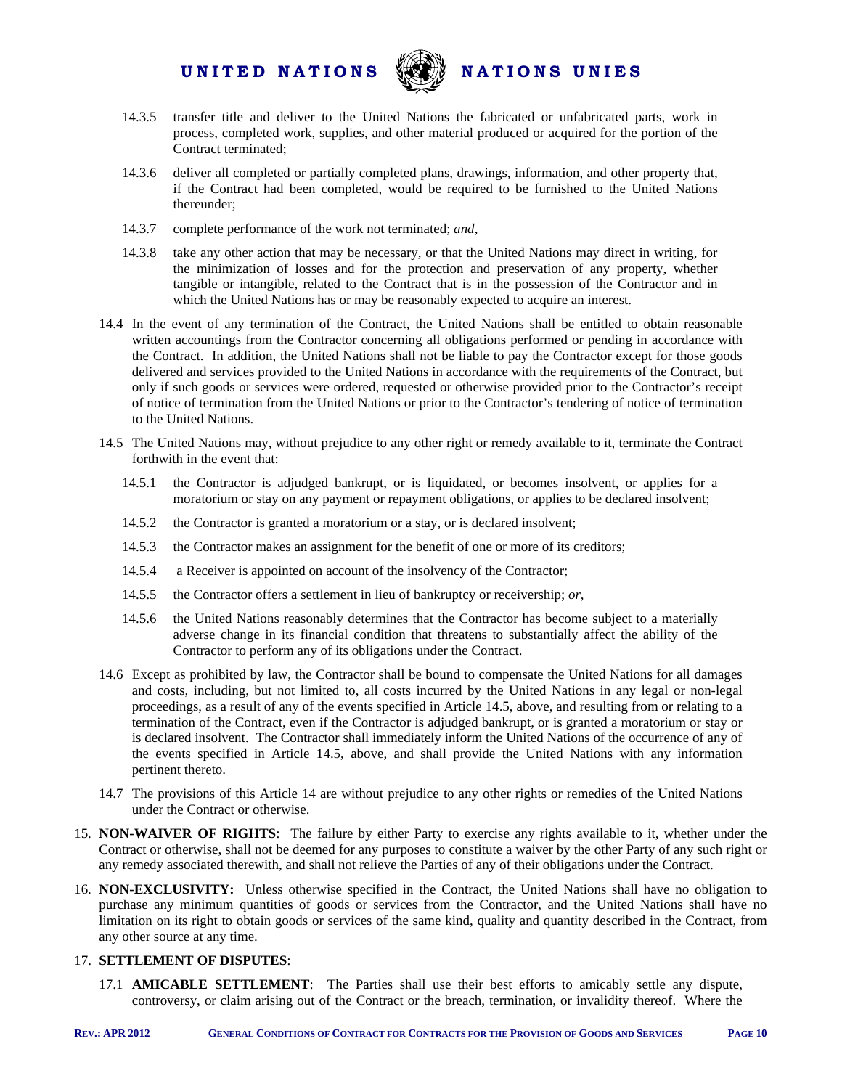

- 14.3.5 transfer title and deliver to the United Nations the fabricated or unfabricated parts, work in process, completed work, supplies, and other material produced or acquired for the portion of the Contract terminated;
- 14.3.6 deliver all completed or partially completed plans, drawings, information, and other property that, if the Contract had been completed, would be required to be furnished to the United Nations thereunder;
- 14.3.7 complete performance of the work not terminated; *and*,
- 14.3.8 take any other action that may be necessary, or that the United Nations may direct in writing, for the minimization of losses and for the protection and preservation of any property, whether tangible or intangible, related to the Contract that is in the possession of the Contractor and in which the United Nations has or may be reasonably expected to acquire an interest.
- 14.4 In the event of any termination of the Contract, the United Nations shall be entitled to obtain reasonable written accountings from the Contractor concerning all obligations performed or pending in accordance with the Contract. In addition, the United Nations shall not be liable to pay the Contractor except for those goods delivered and services provided to the United Nations in accordance with the requirements of the Contract, but only if such goods or services were ordered, requested or otherwise provided prior to the Contractor's receipt of notice of termination from the United Nations or prior to the Contractor's tendering of notice of termination to the United Nations.
- 14.5 The United Nations may, without prejudice to any other right or remedy available to it, terminate the Contract forthwith in the event that:
	- 14.5.1 the Contractor is adjudged bankrupt, or is liquidated, or becomes insolvent, or applies for a moratorium or stay on any payment or repayment obligations, or applies to be declared insolvent;
	- 14.5.2 the Contractor is granted a moratorium or a stay, or is declared insolvent;
	- 14.5.3 the Contractor makes an assignment for the benefit of one or more of its creditors;
	- 14.5.4 a Receiver is appointed on account of the insolvency of the Contractor;
	- 14.5.5 the Contractor offers a settlement in lieu of bankruptcy or receivership; *or,*
	- 14.5.6 the United Nations reasonably determines that the Contractor has become subject to a materially adverse change in its financial condition that threatens to substantially affect the ability of the Contractor to perform any of its obligations under the Contract.
- 14.6 Except as prohibited by law, the Contractor shall be bound to compensate the United Nations for all damages and costs, including, but not limited to, all costs incurred by the United Nations in any legal or non-legal proceedings, as a result of any of the events specified in Article 14.5, above, and resulting from or relating to a termination of the Contract, even if the Contractor is adjudged bankrupt, or is granted a moratorium or stay or is declared insolvent. The Contractor shall immediately inform the United Nations of the occurrence of any of the events specified in Article 14.5, above, and shall provide the United Nations with any information pertinent thereto.
- 14.7 The provisions of this Article 14 are without prejudice to any other rights or remedies of the United Nations under the Contract or otherwise.
- 15. **NON-WAIVER OF RIGHTS**: The failure by either Party to exercise any rights available to it, whether under the Contract or otherwise, shall not be deemed for any purposes to constitute a waiver by the other Party of any such right or any remedy associated therewith, and shall not relieve the Parties of any of their obligations under the Contract.
- 16. **NON-EXCLUSIVITY:** Unless otherwise specified in the Contract, the United Nations shall have no obligation to purchase any minimum quantities of goods or services from the Contractor, and the United Nations shall have no limitation on its right to obtain goods or services of the same kind, quality and quantity described in the Contract, from any other source at any time.

#### 17. **SETTLEMENT OF DISPUTES**:

17.1 **AMICABLE SETTLEMENT**: The Parties shall use their best efforts to amicably settle any dispute, controversy, or claim arising out of the Contract or the breach, termination, or invalidity thereof. Where the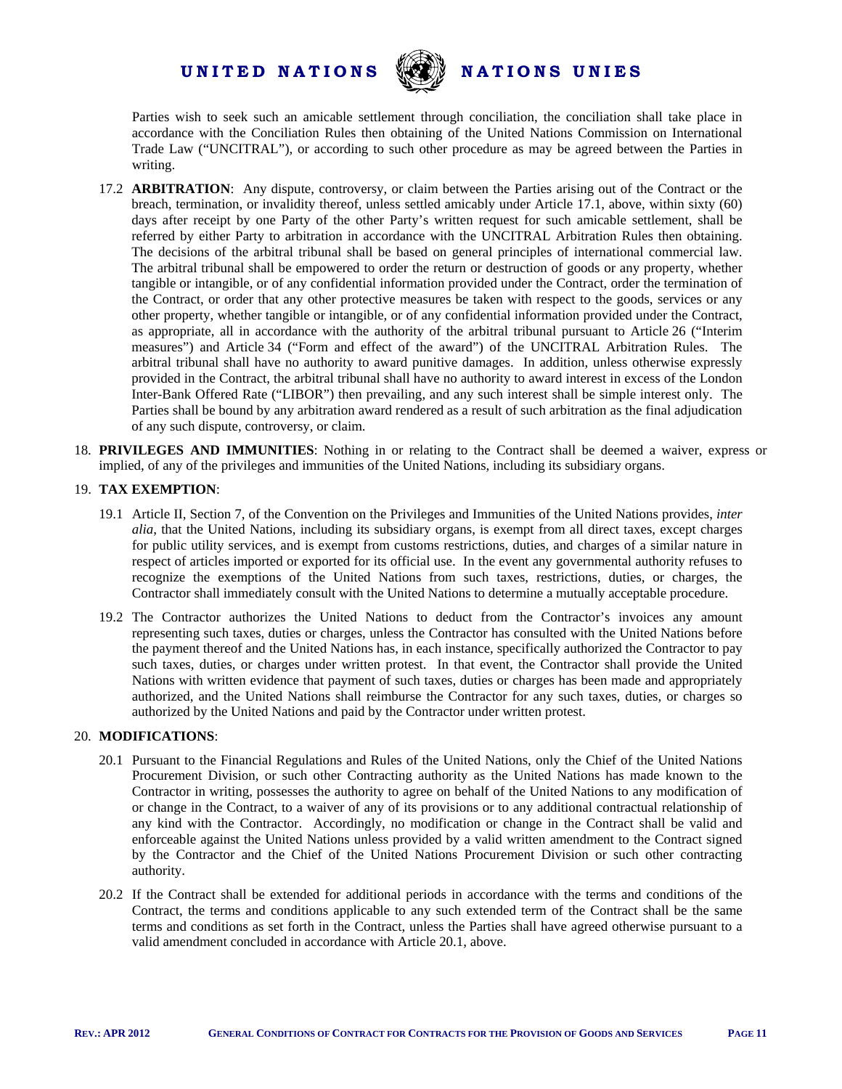

Parties wish to seek such an amicable settlement through conciliation, the conciliation shall take place in accordance with the Conciliation Rules then obtaining of the United Nations Commission on International Trade Law ("UNCITRAL"), or according to such other procedure as may be agreed between the Parties in writing.

- 17.2 **ARBITRATION**: Any dispute, controversy, or claim between the Parties arising out of the Contract or the breach, termination, or invalidity thereof, unless settled amicably under Article 17.1, above, within sixty (60) days after receipt by one Party of the other Party's written request for such amicable settlement, shall be referred by either Party to arbitration in accordance with the UNCITRAL Arbitration Rules then obtaining. The decisions of the arbitral tribunal shall be based on general principles of international commercial law. The arbitral tribunal shall be empowered to order the return or destruction of goods or any property, whether tangible or intangible, or of any confidential information provided under the Contract, order the termination of the Contract, or order that any other protective measures be taken with respect to the goods, services or any other property, whether tangible or intangible, or of any confidential information provided under the Contract, as appropriate, all in accordance with the authority of the arbitral tribunal pursuant to Article 26 ("Interim measures") and Article 34 ("Form and effect of the award") of the UNCITRAL Arbitration Rules. The arbitral tribunal shall have no authority to award punitive damages. In addition, unless otherwise expressly provided in the Contract, the arbitral tribunal shall have no authority to award interest in excess of the London Inter-Bank Offered Rate ("LIBOR") then prevailing, and any such interest shall be simple interest only. The Parties shall be bound by any arbitration award rendered as a result of such arbitration as the final adjudication of any such dispute, controversy, or claim.
- 18. **PRIVILEGES AND IMMUNITIES**: Nothing in or relating to the Contract shall be deemed a waiver, express or implied, of any of the privileges and immunities of the United Nations, including its subsidiary organs.

#### 19. **TAX EXEMPTION**:

- 19.1 Article II, Section 7, of the Convention on the Privileges and Immunities of the United Nations provides, *inter alia*, that the United Nations, including its subsidiary organs, is exempt from all direct taxes, except charges for public utility services, and is exempt from customs restrictions, duties, and charges of a similar nature in respect of articles imported or exported for its official use. In the event any governmental authority refuses to recognize the exemptions of the United Nations from such taxes, restrictions, duties, or charges, the Contractor shall immediately consult with the United Nations to determine a mutually acceptable procedure.
- 19.2 The Contractor authorizes the United Nations to deduct from the Contractor's invoices any amount representing such taxes, duties or charges, unless the Contractor has consulted with the United Nations before the payment thereof and the United Nations has, in each instance, specifically authorized the Contractor to pay such taxes, duties, or charges under written protest. In that event, the Contractor shall provide the United Nations with written evidence that payment of such taxes, duties or charges has been made and appropriately authorized, and the United Nations shall reimburse the Contractor for any such taxes, duties, or charges so authorized by the United Nations and paid by the Contractor under written protest.

#### 20. **MODIFICATIONS**:

- 20.1 Pursuant to the Financial Regulations and Rules of the United Nations, only the Chief of the United Nations Procurement Division, or such other Contracting authority as the United Nations has made known to the Contractor in writing, possesses the authority to agree on behalf of the United Nations to any modification of or change in the Contract, to a waiver of any of its provisions or to any additional contractual relationship of any kind with the Contractor. Accordingly, no modification or change in the Contract shall be valid and enforceable against the United Nations unless provided by a valid written amendment to the Contract signed by the Contractor and the Chief of the United Nations Procurement Division or such other contracting authority.
- 20.2 If the Contract shall be extended for additional periods in accordance with the terms and conditions of the Contract, the terms and conditions applicable to any such extended term of the Contract shall be the same terms and conditions as set forth in the Contract, unless the Parties shall have agreed otherwise pursuant to a valid amendment concluded in accordance with Article 20.1, above.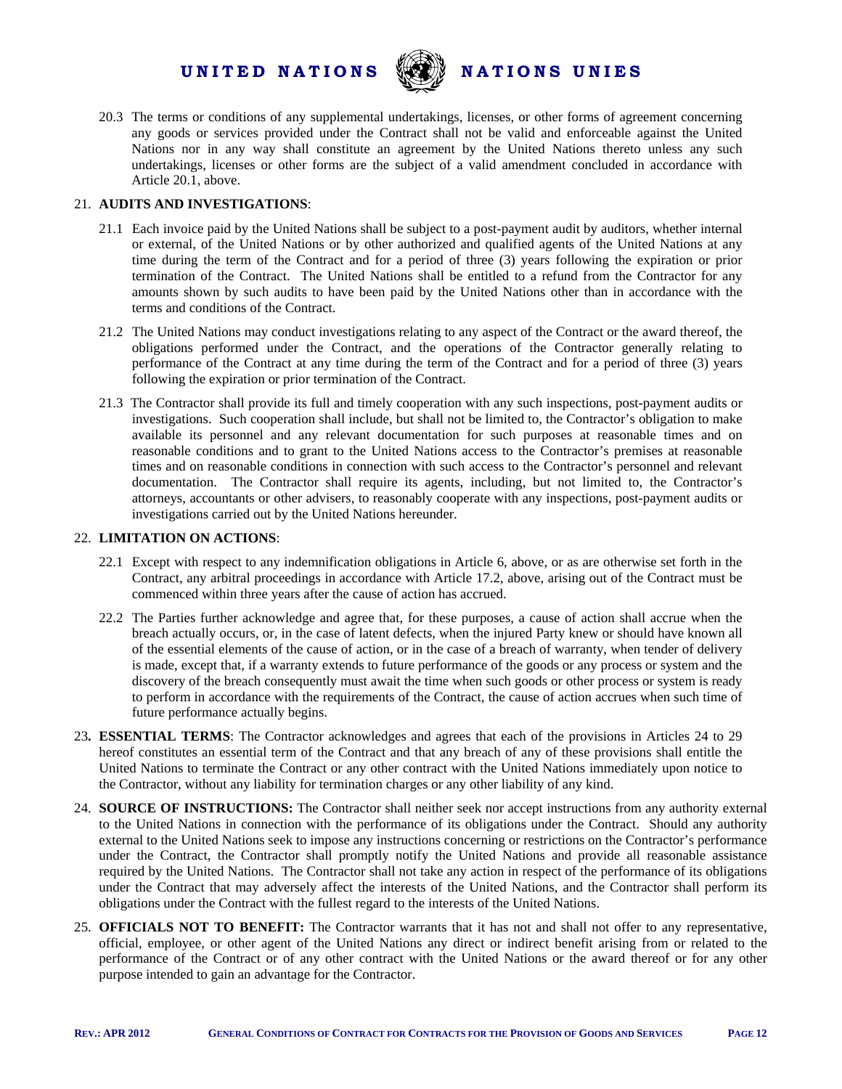

20.3 The terms or conditions of any supplemental undertakings, licenses, or other forms of agreement concerning any goods or services provided under the Contract shall not be valid and enforceable against the United Nations nor in any way shall constitute an agreement by the United Nations thereto unless any such undertakings, licenses or other forms are the subject of a valid amendment concluded in accordance with Article 20.1, above.

#### 21. **AUDITS AND INVESTIGATIONS**:

- 21.1 Each invoice paid by the United Nations shall be subject to a post-payment audit by auditors, whether internal or external, of the United Nations or by other authorized and qualified agents of the United Nations at any time during the term of the Contract and for a period of three (3) years following the expiration or prior termination of the Contract. The United Nations shall be entitled to a refund from the Contractor for any amounts shown by such audits to have been paid by the United Nations other than in accordance with the terms and conditions of the Contract.
- 21.2 The United Nations may conduct investigations relating to any aspect of the Contract or the award thereof, the obligations performed under the Contract, and the operations of the Contractor generally relating to performance of the Contract at any time during the term of the Contract and for a period of three (3) years following the expiration or prior termination of the Contract.
- 21.3 The Contractor shall provide its full and timely cooperation with any such inspections, post-payment audits or investigations. Such cooperation shall include, but shall not be limited to, the Contractor's obligation to make available its personnel and any relevant documentation for such purposes at reasonable times and on reasonable conditions and to grant to the United Nations access to the Contractor's premises at reasonable times and on reasonable conditions in connection with such access to the Contractor's personnel and relevant documentation. The Contractor shall require its agents, including, but not limited to, the Contractor's attorneys, accountants or other advisers, to reasonably cooperate with any inspections, post-payment audits or investigations carried out by the United Nations hereunder.

#### 22. **LIMITATION ON ACTIONS**:

- 22.1 Except with respect to any indemnification obligations in Article 6, above, or as are otherwise set forth in the Contract, any arbitral proceedings in accordance with Article 17.2, above, arising out of the Contract must be commenced within three years after the cause of action has accrued.
- 22.2 The Parties further acknowledge and agree that, for these purposes, a cause of action shall accrue when the breach actually occurs, or, in the case of latent defects, when the injured Party knew or should have known all of the essential elements of the cause of action, or in the case of a breach of warranty, when tender of delivery is made, except that, if a warranty extends to future performance of the goods or any process or system and the discovery of the breach consequently must await the time when such goods or other process or system is ready to perform in accordance with the requirements of the Contract, the cause of action accrues when such time of future performance actually begins.
- 23**. ESSENTIAL TERMS**: The Contractor acknowledges and agrees that each of the provisions in Articles 24 to 29 hereof constitutes an essential term of the Contract and that any breach of any of these provisions shall entitle the United Nations to terminate the Contract or any other contract with the United Nations immediately upon notice to the Contractor, without any liability for termination charges or any other liability of any kind.
- 24. **SOURCE OF INSTRUCTIONS:** The Contractor shall neither seek nor accept instructions from any authority external to the United Nations in connection with the performance of its obligations under the Contract. Should any authority external to the United Nations seek to impose any instructions concerning or restrictions on the Contractor's performance under the Contract, the Contractor shall promptly notify the United Nations and provide all reasonable assistance required by the United Nations. The Contractor shall not take any action in respect of the performance of its obligations under the Contract that may adversely affect the interests of the United Nations, and the Contractor shall perform its obligations under the Contract with the fullest regard to the interests of the United Nations.
- 25. **OFFICIALS NOT TO BENEFIT:** The Contractor warrants that it has not and shall not offer to any representative, official, employee, or other agent of the United Nations any direct or indirect benefit arising from or related to the performance of the Contract or of any other contract with the United Nations or the award thereof or for any other purpose intended to gain an advantage for the Contractor.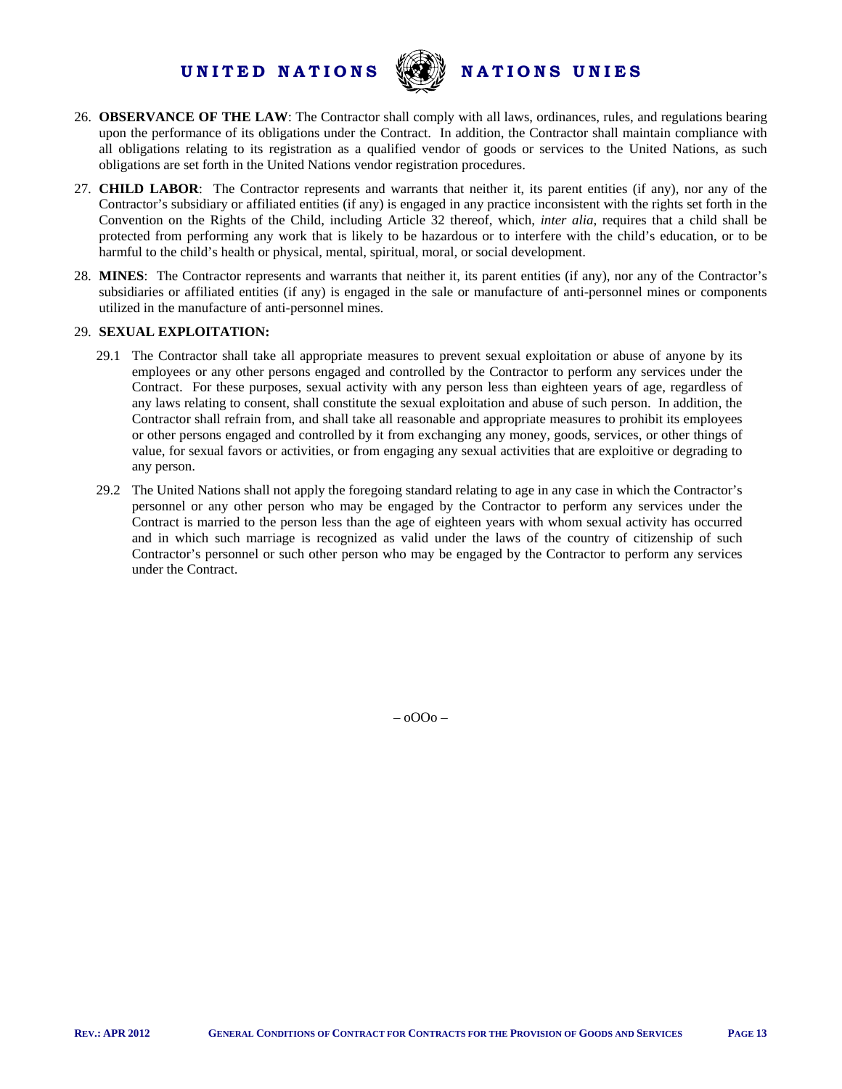

- 26. **OBSERVANCE OF THE LAW**: The Contractor shall comply with all laws, ordinances, rules, and regulations bearing upon the performance of its obligations under the Contract. In addition, the Contractor shall maintain compliance with all obligations relating to its registration as a qualified vendor of goods or services to the United Nations, as such obligations are set forth in the United Nations vendor registration procedures.
- 27. **CHILD LABOR**: The Contractor represents and warrants that neither it, its parent entities (if any), nor any of the Contractor's subsidiary or affiliated entities (if any) is engaged in any practice inconsistent with the rights set forth in the Convention on the Rights of the Child, including Article 32 thereof, which, *inter alia*, requires that a child shall be protected from performing any work that is likely to be hazardous or to interfere with the child's education, or to be harmful to the child's health or physical, mental, spiritual, moral, or social development.
- 28. **MINES**: The Contractor represents and warrants that neither it, its parent entities (if any), nor any of the Contractor's subsidiaries or affiliated entities (if any) is engaged in the sale or manufacture of anti-personnel mines or components utilized in the manufacture of anti-personnel mines.

#### 29. **SEXUAL EXPLOITATION:**

- 29.1 The Contractor shall take all appropriate measures to prevent sexual exploitation or abuse of anyone by its employees or any other persons engaged and controlled by the Contractor to perform any services under the Contract. For these purposes, sexual activity with any person less than eighteen years of age, regardless of any laws relating to consent, shall constitute the sexual exploitation and abuse of such person. In addition, the Contractor shall refrain from, and shall take all reasonable and appropriate measures to prohibit its employees or other persons engaged and controlled by it from exchanging any money, goods, services, or other things of value, for sexual favors or activities, or from engaging any sexual activities that are exploitive or degrading to any person.
- 29.2 The United Nations shall not apply the foregoing standard relating to age in any case in which the Contractor's personnel or any other person who may be engaged by the Contractor to perform any services under the Contract is married to the person less than the age of eighteen years with whom sexual activity has occurred and in which such marriage is recognized as valid under the laws of the country of citizenship of such Contractor's personnel or such other person who may be engaged by the Contractor to perform any services under the Contract.

– oOOo –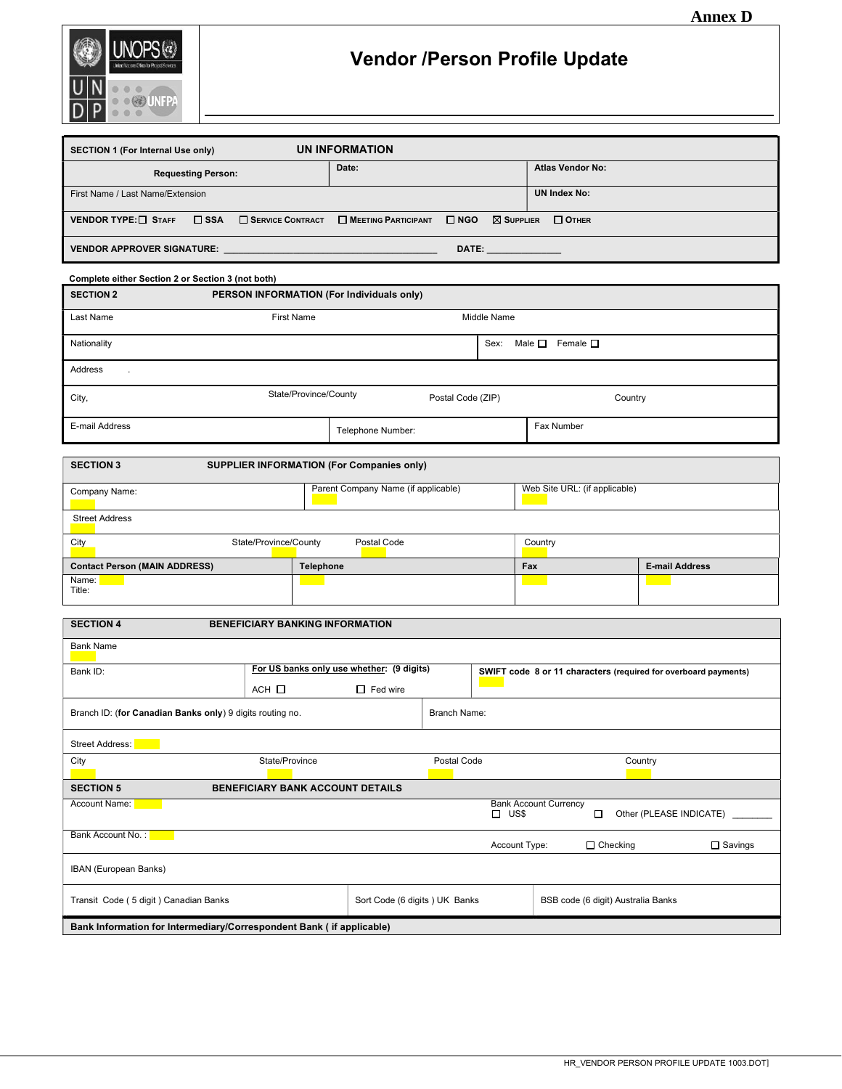

# Vendor /Person Profile Update

| <b>SECTION 1 (For Internal Use only)</b> | UN INFORMATION                                            |                                   |
|------------------------------------------|-----------------------------------------------------------|-----------------------------------|
| <b>Requesting Person:</b>                | Date:                                                     | <b>Atlas Vendor No:</b>           |
| First Name / Last Name/Extension         |                                                           | <b>UN Index No:</b>               |
| VENDOR TYPE: $\Box$ Staff<br>$\Box$ SSA  | SERVICE CONTRACT <b>NEETING PARTICIPANT</b><br>$\Box$ NGO | $\boxtimes$ Supplier $\Box$ Other |
| <b>VENDOR APPROVER SIGNATURE:</b>        | DATE: A CONTROLLER                                        |                                   |

| Complete either Section 2 or Section 3 (not both) |                                                           |                                           |                   |                                                                                                                       |                                 |         |                                                                 |  |
|---------------------------------------------------|-----------------------------------------------------------|-------------------------------------------|-------------------|-----------------------------------------------------------------------------------------------------------------------|---------------------------------|---------|-----------------------------------------------------------------|--|
| <b>SECTION 2</b>                                  |                                                           | PERSON INFORMATION (For Individuals only) |                   |                                                                                                                       |                                 |         |                                                                 |  |
| Last Name                                         |                                                           | <b>First Name</b>                         |                   | Middle Name                                                                                                           |                                 |         |                                                                 |  |
| Nationality                                       |                                                           |                                           |                   | Sex:                                                                                                                  | Male $\Box$<br>Female $\square$ |         |                                                                 |  |
| Address<br>÷                                      |                                                           |                                           |                   |                                                                                                                       |                                 |         |                                                                 |  |
| City,                                             |                                                           | State/Province/County                     | Postal Code (ZIP) |                                                                                                                       |                                 | Country |                                                                 |  |
| E-mail Address                                    |                                                           | Telephone Number:                         |                   |                                                                                                                       | Fax Number                      |         |                                                                 |  |
|                                                   |                                                           |                                           |                   |                                                                                                                       |                                 |         |                                                                 |  |
| <b>SECTION 3</b>                                  |                                                           | SUPPLIER INFORMATION (For Companies only) |                   |                                                                                                                       |                                 |         |                                                                 |  |
| Company Name:                                     |                                                           | Parent Company Name (if applicable)       |                   |                                                                                                                       | Web Site URL: (if applicable)   |         |                                                                 |  |
| <b>Street Address</b>                             |                                                           |                                           |                   |                                                                                                                       |                                 |         |                                                                 |  |
| City                                              | State/Province/County                                     | Postal Code                               |                   |                                                                                                                       | Country                         |         |                                                                 |  |
| <b>Contact Person (MAIN ADDRESS)</b>              |                                                           | <b>Telephone</b>                          |                   |                                                                                                                       | Fax                             |         | <b>E-mail Address</b>                                           |  |
| Name:<br>Title:                                   |                                                           |                                           |                   |                                                                                                                       |                                 |         |                                                                 |  |
|                                                   |                                                           |                                           |                   |                                                                                                                       |                                 |         |                                                                 |  |
| <b>SECTION 4</b>                                  |                                                           | <b>BENEFICIARY BANKING INFORMATION</b>    |                   |                                                                                                                       |                                 |         |                                                                 |  |
| <b>Bank Name</b>                                  |                                                           |                                           |                   |                                                                                                                       |                                 |         |                                                                 |  |
| Bank ID:                                          |                                                           | For US banks only use whether: (9 digits) |                   |                                                                                                                       |                                 |         | SWIFT code 8 or 11 characters (required for overboard payments) |  |
|                                                   | $ACH$ $\Box$                                              | $\Box$ Fed wire                           |                   | <b>Contract Contract Contract Contract Contract Contract Contract Contract Contract Contract Contract Contract Co</b> |                                 |         |                                                                 |  |
|                                                   | Branch ID: (for Canadian Banks only) 9 digits routing no. |                                           | Branch Name:      |                                                                                                                       |                                 |         |                                                                 |  |

| <b>Street Address:</b>                                               |                                                                                                              |             |               |                                   |                         |                |
|----------------------------------------------------------------------|--------------------------------------------------------------------------------------------------------------|-------------|---------------|-----------------------------------|-------------------------|----------------|
| City                                                                 | State/Province                                                                                               | Postal Code |               |                                   | Country                 |                |
| <b>SECTION 5</b>                                                     | <b>BENEFICIARY BANK ACCOUNT DETAILS</b>                                                                      |             |               |                                   |                         |                |
| Account Name:                                                        |                                                                                                              |             | US\$          | <b>Bank Account Currency</b><br>□ | Other (PLEASE INDICATE) |                |
| Bank Account No.:                                                    |                                                                                                              |             | Account Type: |                                   | $\Box$ Checking         | $\Box$ Savings |
| IBAN (European Banks)                                                |                                                                                                              |             |               |                                   |                         |                |
|                                                                      | Transit Code (5 digit) Canadian Banks<br>Sort Code (6 digits) UK Banks<br>BSB code (6 digit) Australia Banks |             |               |                                   |                         |                |
| Bank Information for Intermediary/Correspondent Bank (if applicable) |                                                                                                              |             |               |                                   |                         |                |